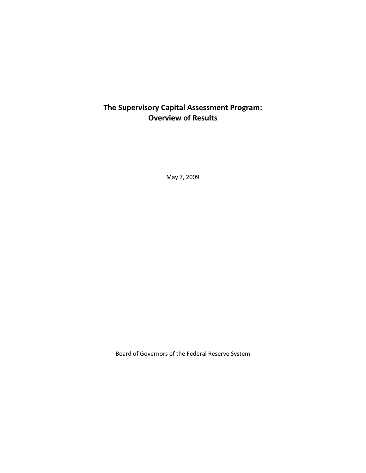# **The Supervisory Capital Assessment Program: Overview of Results**

May 7, 2009

Board of Governors of the Federal Reserve System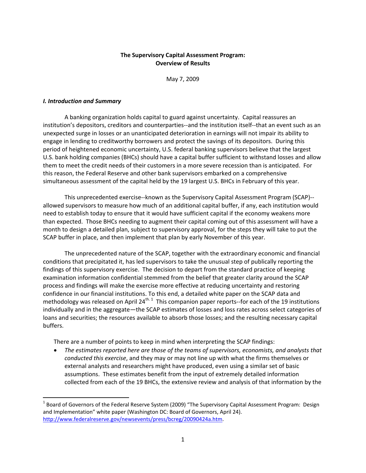# **The Supervisory Capital Assessment Program: Overview of Results**

May 7, 2009

#### *I. Introduction and Summary*

A banking organization holds capital to guard against uncertainty. Capital reassures an institution's depositors, creditors and counterparties‐‐and the institution itself‐‐that an event such as an unexpected surge in losses or an unanticipated deterioration in earnings will not impair its ability to engage in lending to creditworthy borrowers and protect the savings of its depositors. During this period of heightened economic uncertainty, U.S. federal banking supervisors believe that the largest U.S. bank holding companies (BHCs) should have a capital buffer sufficient to withstand losses and allow them to meet the credit needs of their customers in a more severe recession than is anticipated. For this reason, the Federal Reserve and other bank supervisors embarked on a comprehensive simultaneous assessment of the capital held by the 19 largest U.S. BHCs in February of this year.

This unprecedented exercise‐‐known as the Supervisory Capital Assessment Program (SCAP)‐‐ allowed supervisors to measure how much of an additional capital buffer, if any, each institution would need to establish today to ensure that it would have sufficient capital if the economy weakens more than expected. Those BHCs needing to augment their capital coming out of this assessment will have a month to design a detailed plan, subject to supervisory approval, for the steps they will take to put the SCAP buffer in place, and then implement that plan by early November of this year.

The unprecedented nature of the SCAP, together with the extraordinary economic and financial conditions that precipitated it, has led supervisors to take the unusual step of publically reporting the findings of this supervisory exercise. The decision to depart from the standard practice of keeping examination information confidential stemmed from the belief that greater clarity around the SCAP process and findings will make the exercise more effective at reducing uncertainty and restoring confidence in our financial institutions. To this end, a detailed white paper on the SCAP data and methodology was released on April 24<sup>th. 1</sup> This companion paper reports--for each of the 19 institutions individually and in the aggregate—the SCAP estimates of losses and loss rates across select categories of loans and securities; the resources available to absorb those losses; and the resulting necessary capital buffers.

There are a number of points to keep in mind when interpreting the SCAP findings:

 *The estimates reported here are those of the teams of supervisors, economists, and analysts that conducted this exercise*, and they may or may not line up with what the firms themselves or external analysts and researchers might have produced, even using a similar set of basic assumptions. These estimates benefit from the input of extremely detailed information collected from each of the 19 BHCs, the extensive review and analysis of that information by the

 $1$  Board of Governors of the Federal Reserve System (2009) "The Supervisory Capital Assessment Program: Design and Implementation" white paper (Washington DC: Board of Governors, April 24). http://www.federalreserve.gov/newsevents/press/bcreg/20090424a.htm.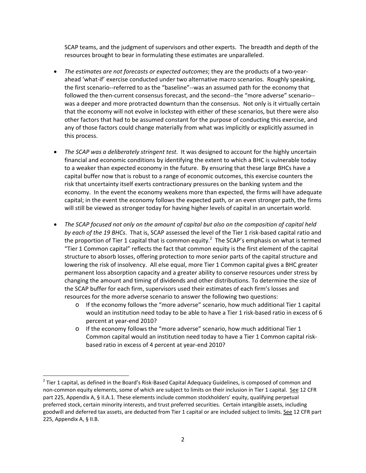SCAP teams, and the judgment of supervisors and other experts. The breadth and depth of the resources brought to bear in formulating these estimates are unparalleled.

- *The estimates are not forecasts or expected outcomes*; they are the products of a two‐year‐ ahead 'what‐if' exercise conducted under two alternative macro scenarios. Roughly speaking, the first scenario‐‐referred to as the "baseline"‐‐was an assumed path for the economy that followed the then-current consensus forecast, and the second--the "more adverse" scenario-was a deeper and more protracted downturn than the consensus. Not only is it virtually certain that the economy will not evolve in lockstep with either of these scenarios, but there were also other factors that had to be assumed constant for the purpose of conducting this exercise, and any of those factors could change materially from what was implicitly or explicitly assumed in this process.
- *The SCAP was a deliberately stringent test.* It was designed to account for the highly uncertain financial and economic conditions by identifying the extent to which a BHC is vulnerable today to a weaker than expected economy in the future. By ensuring that these large BHCs have a capital buffer now that is robust to a range of economic outcomes, this exercise counters the risk that uncertainty itself exerts contractionary pressures on the banking system and the economy. In the event the economy weakens more than expected, the firms will have adequate capital; in the event the economy follows the expected path, or an even stronger path, the firms will still be viewed as stronger today for having higher levels of capital in an uncertain world.
- *The SCAP focused not only on the amount of capital but also on the composition of capital held by each of the 19 BHCs*. That is, SCAP assessed the level of the Tier 1 risk‐based capital ratio and the proportion of Tier 1 capital that is common equity.<sup>2</sup> The SCAP's emphasis on what is termed "Tier 1 Common capital" reflects the fact that common equity is the first element of the capital structure to absorb losses, offering protection to more senior parts of the capital structure and lowering the risk of insolvency. All else equal, more Tier 1 Common capital gives a BHC greater permanent loss absorption capacity and a greater ability to conserve resources under stress by changing the amount and timing of dividends and other distributions. To determine the size of the SCAP buffer for each firm, supervisors used their estimates of each firm's losses and resources for the more adverse scenario to answer the following two questions:
	- o If the economy follows the "more adverse" scenario, how much additional Tier 1 capital would an institution need today to be able to have a Tier 1 risk‐based ratio in excess of 6 percent at year‐end 2010?
	- o If the economy follows the "more adverse" scenario, how much additional Tier 1 Common capital would an institution need today to have a Tier 1 Common capital risk‐ based ratio in excess of 4 percent at year‐end 2010?

 $2$  Tier 1 capital, as defined in the Board's Risk-Based Capital Adequacy Guidelines, is composed of common and non-common equity elements, some of which are subject to limits on their inclusion in Tier 1 capital. See 12 CFR part 225, Appendix A, § II.A.1. These elements include common stockholders' equity, qualifying perpetual preferred stock, certain minority interests, and trust preferred securities. Certain intangible assets, including goodwill and deferred tax assets, are deducted from Tier 1 capital or are included subject to limits. See 12 CFR part 225, Appendix A, § II.B.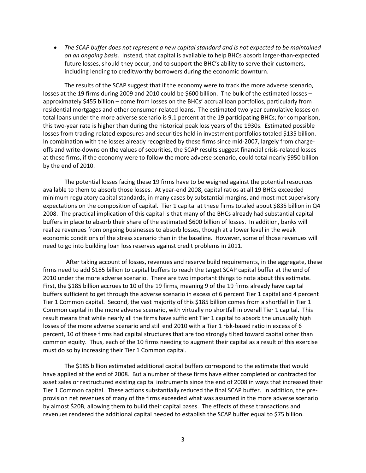*The SCAP buffer does not represent a new capital standard and is not expected to be maintained on an ongoing basis.* Instead, that capital is available to help BHCs absorb larger‐than‐expected future losses, should they occur, and to support the BHC's ability to serve their customers, including lending to creditworthy borrowers during the economic downturn.

The results of the SCAP suggest that if the economy were to track the more adverse scenario, losses at the 19 firms during 2009 and 2010 could be \$600 billion. The bulk of the estimated losses approximately \$455 billion – come from losses on the BHCs' accrual loan portfolios, particularly from residential mortgages and other consumer-related loans. The estimated two-year cumulative losses on total loans under the more adverse scenario is 9.1 percent at the 19 participating BHCs; for comparison, this two‐year rate is higher than during the historical peak loss years of the 1930s. Estimated possible losses from trading‐related exposures and securities held in investment portfolios totaled \$135 billion. In combination with the losses already recognized by these firms since mid-2007, largely from chargeoffs and write‐downs on the values of securities, the SCAP results suggest financial crisis‐related losses at these firms, if the economy were to follow the more adverse scenario, could total nearly \$950 billion by the end of 2010.

The potential losses facing these 19 firms have to be weighed against the potential resources available to them to absorb those losses. At year-end 2008, capital ratios at all 19 BHCs exceeded minimum regulatory capital standards, in many cases by substantial margins, and most met supervisory expectations on the composition of capital. Tier 1 capital at these firms totaled about \$835 billion in Q4 2008. The practical implication of this capital is that many of the BHCs already had substantial capital buffers in place to absorb their share of the estimated \$600 billion of losses. In addition, banks will realize revenues from ongoing businesses to absorb losses, though at a lower level in the weak economic conditions of the stress scenario than in the baseline. However, some of those revenues will need to go into building loan loss reserves against credit problems in 2011.

After taking account of losses, revenues and reserve build requirements, in the aggregate, these firms need to add \$185 billion to capital buffers to reach the target SCAP capital buffer at the end of 2010 under the more adverse scenario. There are two important things to note about this estimate. First, the \$185 billion accrues to 10 of the 19 firms, meaning 9 of the 19 firms already have capital buffers sufficient to get through the adverse scenario in excess of 6 percent Tier 1 capital and 4 percent Tier 1 Common capital. Second, the vast majority of this \$185 billion comes from a shortfall in Tier 1 Common capital in the more adverse scenario, with virtually no shortfall in overall Tier 1 capital. This result means that while nearly all the firms have sufficient Tier 1 capital to absorb the unusually high losses of the more adverse scenario and still end 2010 with a Tier 1 risk-based ratio in excess of 6 percent, 10 of these firms had capital structures that are too strongly tilted toward capital other than common equity. Thus, each of the 10 firms needing to augment their capital as a result of this exercise must do so by increasing their Tier 1 Common capital.

The \$185 billion estimated additional capital buffers correspond to the estimate that would have applied at the end of 2008. But a number of these firms have either completed or contracted for asset sales or restructured existing capital instruments since the end of 2008 in ways that increased their Tier 1 Common capital. These actions substantially reduced the final SCAP buffer. In addition, the pre‐ provision net revenues of many of the firms exceeded what was assumed in the more adverse scenario by almost \$20B, allowing them to build their capital bases. The effects of these transactions and revenues rendered the additional capital needed to establish the SCAP buffer equal to \$75 billion.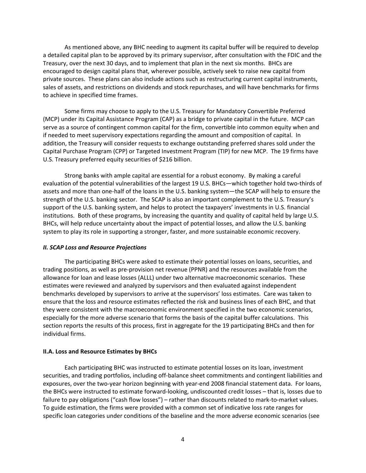As mentioned above, any BHC needing to augment its capital buffer will be required to develop a detailed capital plan to be approved by its primary supervisor, after consultation with the FDIC and the Treasury, over the next 30 days, and to implement that plan in the next six months. BHCs are encouraged to design capital plans that, wherever possible, actively seek to raise new capital from private sources. These plans can also include actions such as restructuring current capital instruments, sales of assets, and restrictions on dividends and stock repurchases, and will have benchmarks for firms to achieve in specified time frames.

Some firms may choose to apply to the U.S. Treasury for Mandatory Convertible Preferred (MCP) under its Capital Assistance Program (CAP) as a bridge to private capital in the future. MCP can serve as a source of contingent common capital for the firm, convertible into common equity when and if needed to meet supervisory expectations regarding the amount and composition of capital. In addition, the Treasury will consider requests to exchange outstanding preferred shares sold under the Capital Purchase Program (CPP) or Targeted Investment Program (TIP) for new MCP. The 19 firms have U.S. Treasury preferred equity securities of \$216 billion.

Strong banks with ample capital are essential for a robust economy. By making a careful evaluation of the potential vulnerabilities of the largest 19 U.S. BHCs—which together hold two-thirds of assets and more than one‐half of the loans in the U.S. banking system—the SCAP will help to ensure the strength of the U.S. banking sector. The SCAP is also an important complement to the U.S. Treasury's support of the U.S. banking system, and helps to protect the taxpayers' investments in U.S. financial institutions. Both of these programs, by increasing the quantity and quality of capital held by large U.S. BHCs, will help reduce uncertainty about the impact of potential losses, and allow the U.S. banking system to play its role in supporting a stronger, faster, and more sustainable economic recovery.

### *II. SCAP Loss and Resource Projections*

The participating BHCs were asked to estimate their potential losses on loans, securities, and trading positions, as well as pre‐provision net revenue (PPNR) and the resources available from the allowance for loan and lease losses (ALLL) under two alternative macroeconomic scenarios. These estimates were reviewed and analyzed by supervisors and then evaluated against independent benchmarks developed by supervisors to arrive at the supervisors' loss estimates. Care was taken to ensure that the loss and resource estimates reflected the risk and business lines of each BHC, and that they were consistent with the macroeconomic environment specified in the two economic scenarios, especially for the more adverse scenario that forms the basis of the capital buffer calculations. This section reports the results of this process, first in aggregate for the 19 participating BHCs and then for individual firms.

### **II.A. Loss and Resource Estimates by BHCs**

Each participating BHC was instructed to estimate potential losses on its loan, investment securities, and trading portfolios, including off-balance sheet commitments and contingent liabilities and exposures, over the two-year horizon beginning with year-end 2008 financial statement data. For loans, the BHCs were instructed to estimate forward‐looking, undiscounted credit losses – that is, losses due to failure to pay obligations ("cash flow losses") – rather than discounts related to mark-to-market values. To guide estimation, the firms were provided with a common set of indicative loss rate ranges for specific loan categories under conditions of the baseline and the more adverse economic scenarios (see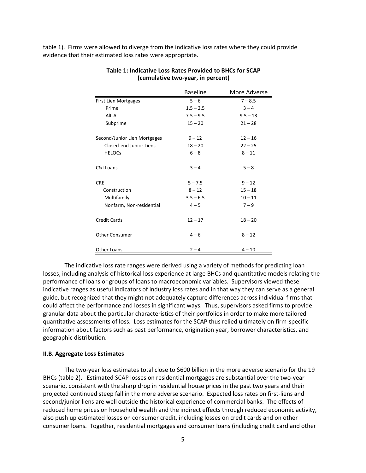table 1). Firms were allowed to diverge from the indicative loss rates where they could provide evidence that their estimated loss rates were appropriate.

|                              | <b>Baseline</b> | More Adverse |
|------------------------------|-----------------|--------------|
| First Lien Mortgages         | $5 - 6$         | $7 - 8.5$    |
| Prime                        | $1.5 - 2.5$     | $3 - 4$      |
| Alt-A                        | $7.5 - 9.5$     | $9.5 - 13$   |
| Subprime                     | $15 - 20$       | $21 - 28$    |
| Second/Junior Lien Mortgages | $9 - 12$        | $12 - 16$    |
| Closed-end Junior Liens      | $18 - 20$       | $22 - 25$    |
| <b>HELOCs</b>                | $6 - 8$         | $8 - 11$     |
| C&I Loans                    | $3 - 4$         | $5 - 8$      |
| <b>CRE</b>                   | $5 - 7.5$       | $9 - 12$     |
| Construction                 | $8 - 12$        | $15 - 18$    |
| Multifamily                  | $3.5 - 6.5$     | $10 - 11$    |
| Nonfarm, Non-residential     | $4 - 5$         | $7 - 9$      |
| <b>Credit Cards</b>          | $12 - 17$       | $18 - 20$    |
| <b>Other Consumer</b>        | $4 - 6$         | $8 - 12$     |
| <b>Other Loans</b>           | $2 - 4$         | $4 - 10$     |

## **Table 1: Indicative Loss Rates Provided to BHCs for SCAP (cumulative two‐year, in percent)**

The indicative loss rate ranges were derived using a variety of methods for predicting loan losses, including analysis of historical loss experience at large BHCs and quantitative models relating the performance of loans or groups of loans to macroeconomic variables. Supervisors viewed these indicative ranges as useful indicators of industry loss rates and in that way they can serve as a general guide, but recognized that they might not adequately capture differences across individual firms that could affect the performance and losses in significant ways. Thus, supervisors asked firms to provide granular data about the particular characteristics of their portfolios in order to make more tailored quantitative assessments of loss. Loss estimates for the SCAP thus relied ultimately on firm‐specific information about factors such as past performance, origination year, borrower characteristics, and geographic distribution.

#### **II.B. Aggregate Loss Estimates**

The two-year loss estimates total close to \$600 billion in the more adverse scenario for the 19 BHCs (table 2). Estimated SCAP losses on residential mortgages are substantial over the two‐year scenario, consistent with the sharp drop in residential house prices in the past two years and their projected continued steep fall in the more adverse scenario. Expected loss rates on first‐liens and second/junior liens are well outside the historical experience of commercial banks. The effects of reduced home prices on household wealth and the indirect effects through reduced economic activity, also push up estimated losses on consumer credit, including losses on credit cards and on other consumer loans. Together, residential mortgages and consumer loans (including credit card and other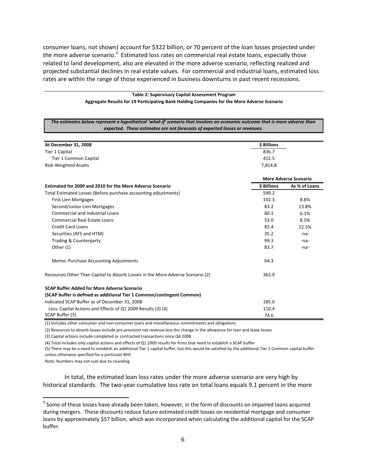consumer loans, not shown) account for \$322 billion, or 70 percent of the loan losses projected under the more adverse scenario.<sup>3</sup> Estimated loss rates on commercial real estate loans, especially those related to land development, also are elevated in the more adverse scenario, reflecting realized and projected substantial declines in real estate values. For commercial and industrial loans, estimated loss rates are within the range of those experienced in business downturns in past recent recessions.

#### **Table 2: Supervisory Capital Assessment Program Aggregate Results for 19 Participating Bank Holding Companies for the More Adverse Scenario**

| The estimates below represent a hypothetical 'what-if' scenario that involves an economic outcome that is more adverse than<br>expected. These estimates are not forecasts of expected losses or revenues. |                    |                              |
|------------------------------------------------------------------------------------------------------------------------------------------------------------------------------------------------------------|--------------------|------------------------------|
|                                                                                                                                                                                                            |                    |                              |
| At December 31, 2008                                                                                                                                                                                       | \$ Billions        |                              |
| Tier 1 Capital                                                                                                                                                                                             | 836.7              |                              |
| Tier 1 Common Capital                                                                                                                                                                                      | 412.5              |                              |
| <b>Risk-Weighted Assets</b>                                                                                                                                                                                | 7,814.8            |                              |
|                                                                                                                                                                                                            |                    | <b>More Adverse Scenario</b> |
| Estimated for 2009 and 2010 for the More Adverse Scenario                                                                                                                                                  | <b>\$ Billions</b> | As % of Loans                |
| Total Estimated Losses (Before purchase accounting adjustments)                                                                                                                                            | 599.2              |                              |
| <b>First Lien Mortgages</b>                                                                                                                                                                                | 102.3              | 8.8%                         |
| Second/Junior Lien Mortgages                                                                                                                                                                               | 83.2               | 13.8%                        |
| <b>Commercial and Industrial Loans</b>                                                                                                                                                                     | 60.1               | 6.1%                         |
| <b>Commercial Real Estate Loans</b>                                                                                                                                                                        | 53.0               | 8.5%                         |
| <b>Credit Card Loans</b>                                                                                                                                                                                   | 82.4               | 22.5%                        |
| Securities (AFS and HTM)                                                                                                                                                                                   | 35.2               | -na-                         |
| <b>Trading &amp; Counterparty</b>                                                                                                                                                                          | 99.3               | -na-                         |
| Other (1)                                                                                                                                                                                                  | 83.7               | -na-                         |
| Memo: Purchase Accounting Adjustments                                                                                                                                                                      | 64.3               |                              |
| Resources Other Than Capital to Absorb Losses in the More Adverse Scenario (2)                                                                                                                             | 362.9              |                              |
| <b>SCAP Buffer Added for More Adverse Scenario</b>                                                                                                                                                         |                    |                              |
| (SCAP buffer is defined as additional Tier 1 Common/contingent Common)                                                                                                                                     |                    |                              |
| Indicated SCAP Buffer as of December 31, 2008                                                                                                                                                              | 185.0              |                              |
| Less: Capital Actions and Effects of Q1 2009 Results (3) (4)                                                                                                                                               | 110.4              |                              |
| SCAP Buffer (5)                                                                                                                                                                                            | 74.6               |                              |

(1) Includes other consumer and non‐consumer loans and miscellaneous commitments and obligations

(2) Resources to absorb losses include pre‐provision net revenue less the change in the allowance for loan and lease losses

(3) Capital actions include completed or contracted transactions since Q4 2008

(4) Total includes only capital actions and effects of Q1 2009 results for firms that need to establish a SCAP buffer

(5) There may be a need to establish an additional Tier 1 capital buffer, but this would be satisfied by the additional Tier 1 Common capital buffer unless otherwise specified for a particular BHC

Note: Numbers may not sum due to rounding

In total, the estimated loan loss rates under the more adverse scenario are very high by historical standards. The two-year cumulative loss rate on total loans equals 9.1 percent in the more

<sup>&</sup>lt;sup>3</sup> Some of these losses have already been taken, however, in the form of discounts on impaired loans acquired during mergers. These discounts reduce future estimated credit losses on residential mortgage and consumer loans by approximately \$57 billion, which was incorporated when calculating the additional capital for the SCAP buffer.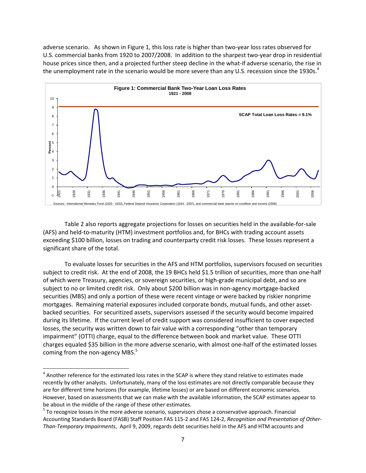adverse scenario. As shown in Figure 1, this loss rate is higher than two-year loss rates observed for U.S. commercial banks from 1920 to 2007/2008. In addition to the sharpest two‐year drop in residential house prices since then, and a projected further steep decline in the what-if adverse scenario, the rise in the unemployment rate in the scenario would be more severe than any U.S. recession since the 1930s.<sup>4</sup>



Table 2 also reports aggregate projections for losses on securities held in the available‐for‐sale (AFS) and held‐to‐maturity (HTM) investment portfolios and, for BHCs with trading account assets exceeding \$100 billion, losses on trading and counterparty credit risk losses. These losses represent a significant share of the total.

To evaluate losses for securities in the AFS and HTM portfolios, supervisors focused on securities subject to credit risk. At the end of 2008, the 19 BHCs held \$1.5 trillion of securities, more than one‐half of which were Treasury, agencies, or sovereign securities, or high‐grade municipal debt, and so are subject to no or limited credit risk. Only about \$200 billion was in non-agency mortgage-backed securities (MBS) and only a portion of these were recent vintage or were backed by riskier nonprime mortgages. Remaining material exposures included corporate bonds, mutual funds, and other asset‐ backed securities. For securitized assets, supervisors assessed if the security would become impaired during its lifetime. If the current level of credit support was considered insufficient to cover expected losses, the security was written down to fair value with a corresponding "other than temporary impairment" (OTTI) charge, equal to the difference between book and market value. These OTTI charges equaled \$35 billion in the more adverse scenario, with almost one‐half of the estimated losses coming from the non-agency MBS.<sup>5</sup>

 $^4$  Another reference for the estimated loss rates in the SCAP is where they stand relative to estimates made recently by other analysts. Unfortunately, many of the loss estimates are not directly comparable because they are for different time horizons (for example, lifetime losses) or are based on different economic scenarios. However, based on assessments that we can make with the available information, the SCAP estimates appear to

be about in the middle of the range of these other estimates.<br>
<sup>5</sup> To recognize losses in the more adverse scenario, supervisors chose a conservative approach. Financial Accounting Standards Board (FASB) Staff Position FAS 115‐2 and FAS 124‐2, *Recognition and Presentation of Other‐ Than‐Temporary Impairments*, April 9, 2009, regards debt securities held in the AFS and HTM accounts and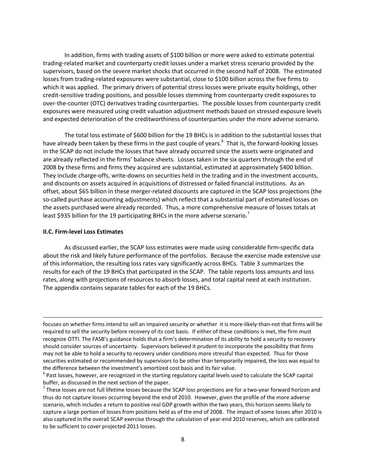In addition, firms with trading assets of \$100 billion or more were asked to estimate potential trading‐related market and counterparty credit losses under a market stress scenario provided by the supervisors, based on the severe market shocks that occurred in the second half of 2008. The estimated losses from trading‐related exposures were substantial, close to \$100 billion across the five firms to which it was applied. The primary drivers of potential stress losses were private equity holdings, other credit‐sensitive trading positions, and possible losses stemming from counterparty credit exposures to over-the-counter (OTC) derivatives trading counterparties. The possible losses from counterparty credit exposures were measured using credit valuation adjustment methods based on stressed exposure levels and expected deterioration of the creditworthiness of counterparties under the more adverse scenario.

The total loss estimate of \$600 billion for the 19 BHCs is in addition to the substantial losses that have already been taken by these firms in the past couple of years.<sup>6</sup> That is, the forward-looking losses in the SCAP do not include the losses that have already occurred since the assets were originated and are already reflected in the firms' balance sheets. Losses taken in the six quarters through the end of 2008 by these firms and firms they acquired are substantial, estimated at approximately \$400 billion. They include charge‐offs, write‐downs on securities held in the trading and in the investment accounts, and discounts on assets acquired in acquisitions of distressed or failed financial institutions. As an offset, about \$65 billion in these merger‐related discounts are captured in the SCAP loss projections (the so-called purchase accounting adjustments) which reflect that a substantial part of estimated losses on the assets purchased were already recorded. Thus, a more comprehensive measure of losses totals at least \$935 billion for the 19 participating BHCs in the more adverse scenario.<sup>7</sup>

#### **II.C. Firm‐level Loss Estimates**

As discussed earlier, the SCAP loss estimates were made using considerable firm‐specific data about the risk and likely future performance of the portfolios. Because the exercise made extensive use of this information, the resulting loss rates vary significantly across BHCs. Table 3 summarizes the results for each of the 19 BHCs that participated in the SCAP. The table reports loss amounts and loss rates, along with projections of resources to absorb losses, and total capital need at each institution. The appendix contains separate tables for each of the 19 BHCs.

<u> Andrewski politika (za obrazu pod predsjednika u predsjednika u predsjednika u predsjednika (za obrazu pod p</u>

focuses on whether firms intend to sell an impaired security or whether it is more‐likely‐than‐not that firms will be required to sell the security before recovery of its cost basis. If either of these conditions is met, the firm must recognize OTTI. The FASB's guidance holds that a firm's determination of its ability to hold a security to recovery should consider sources of uncertainty. Supervisors believed it prudent to incorporate the possibility that firms may not be able to hold a security to recovery under conditions more stressful than expected. Thus for those securities estimated or recommended by supervisors to be other than temporarily impaired, the loss was equal to the difference between the investment's amortized cost basis and its fair value.<br>
<sup>6</sup> Past losses, however, are recognized in the starting regulatory capital levels used to calculate the SCAP capital

buffer, as discussed in the next section of the paper.<br><sup>7</sup> These losses are not full lifetime losses because the SCAP loss projections are for a two-year forward horizon and thus do not capture losses occurring beyond the end of 2010. However, given the profile of the more adverse scenario, which includes a return to positive real GDP growth within the two years, this horizon seems likely to capture a large portion of losses from positions held as of the end of 2008. The impact of some losses after 2010 is also captured in the overall SCAP exercise through the calculation of year‐end 2010 reserves, which are calibrated to be sufficient to cover projected 2011 losses.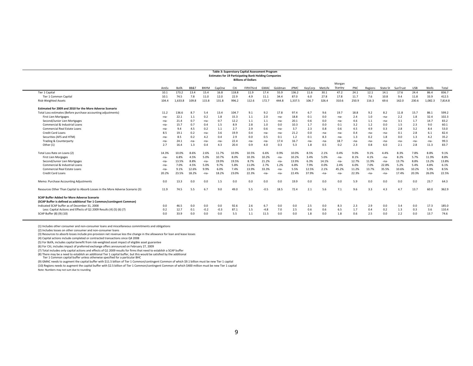#### **Table 3: Supervisory Capital Assessment Program Estimates for 19 Participating Bank Holding Companies Billions of Dollars**

|                                                                                                                              |        |             |                 |             |        |       | . ושווטש וט נווטוווש |        |         |             |         |         |         |       |         |          |          |            |        |         |
|------------------------------------------------------------------------------------------------------------------------------|--------|-------------|-----------------|-------------|--------|-------|----------------------|--------|---------|-------------|---------|---------|---------|-------|---------|----------|----------|------------|--------|---------|
|                                                                                                                              |        |             |                 |             |        |       |                      |        |         |             |         |         | Morgan  |       |         |          |          |            |        |         |
|                                                                                                                              | AmEx   | <b>BofA</b> | <b>BB&amp;1</b> | <b>BNYM</b> | CapOne | Citi  | FifthThird           | GMAC   | Goldman | <b>JPMC</b> | KeyCorp | MetLife | Stanley | PNC   | Regions | State St | SunTrust | <b>USB</b> | Wells  | Total   |
| Tier 1 Capital                                                                                                               | 10.1   | 173.2       | 13.4            | 15.4        | 16.8   | 118.8 | 11.9                 | 17.4   | 55.9    | 136.2       | 11.6    | 30.1    | 47.2    | 24.1  | 12.1    | 14.1     | 17.6     | 24.4       | 86.4   | 836.7   |
| Tier 1 Common Capital                                                                                                        | 10.1   | 74.5        | 7.8             | 11.0        | 12.0   | 22.9  | 4.9                  | 11.1   | 34.4    | 87.0        | 6.0     | 27.8    | 17.8    | 11.7  | 7.6     | 10.8     | 9.4      | 11.8       | 33.9   | 412.5   |
| <b>Risk-Weighted Assets</b>                                                                                                  | 104.4  | 1,633.8     | 109.8           | 115.8       | 131.8  | 996.2 | 112.6                | 172.7  | 444.8   | 1,337.5     | 106.7   | 326.4   | 310.6   | 250.9 | 116.3   | 69.6     | 162.0    | 230.6      | 1,082. | 7,814.8 |
| Estimated for 2009 and 2010 for the More Adverse Scenario                                                                    |        |             |                 |             |        |       |                      |        |         |             |         |         |         |       |         |          |          |            |        |         |
| Total Loss estimates (Before purchase accounting adjustments)                                                                | 11.2   | 136.6       | 8.7             | 5.4         | 13.4   | 104.7 | 9.1                  | 9.2    | 17.8    | 97.4        | 6.7     | 9.6     | 19.7    | 18.8  | 9.2     | 8.2      | 11.8     | 15.7       | 86.1   | 599.2   |
| <b>First Lien Mortgages</b>                                                                                                  | $-na-$ | 22.1        | 1.1             | 0.2         | 1.8    | 15.3  | 1.1                  | 2.0    | -na-    | 18.8        | 0.1     | 0.0     | -na-    | 2.4   | 1.0     | -na-     | 2.2      | 1.8        | 32.4   | 102.3   |
| Second/Junior Lien Mortgages                                                                                                 | -na-   | 21.4        | 0.7             | $-na-$      | 0.7    | 12.2  | 1.1                  | 1.1    | -na-    | 20.1        | 0.6     | 0.0     | -na-    | 4.6   | 1.1     | -na-     | 3.1      | 1.7        | 14.7   | 83.2    |
| Commercial & Industrial Loans                                                                                                | -na-   | 15.7        | 0.7             | 0.4         | 1.5    | 8.9   | 2.8                  | 1.0    | 0.0     | 10.3        | 1.7     | 0.0     | 0.1     | 3.2   | 1.2     | 0.0      | 1.5      | 2.3        | 9.0    | 60.1    |
| Commercial Real Estate Loans                                                                                                 | -na-   | 9.4         | 4.5             | 0.2         | 1.1    | 2.7   | 2.9                  | 0.6    | -na-    | 3.7         | 2.3     | 0.8     | 0.6     | 4.5   | 4.9     | 0.3      | 2.8      | 3.2        | 8.4    | 53.0    |
| <b>Credit Card Loans</b>                                                                                                     | 8.5    | 19.1        | 0.2             | $-na-$      | 3.6    | 19.9  | 0.4                  | -na-   | -na-    | 21.2        | 0.0     | -na-    | $-na$   | 0.4   | -na-    | $-na$    | 0.1      | 2.8        | 6.1    | 82.4    |
| Securities (AFS and HTM)                                                                                                     | -na-   | 8.5         | 0.2             | 4.2         | 0.4    | 2.9   | 0.0                  | 0.5    | 0.1     | 1.2         | 0.1     | 8.3     | $-na$   | 1.3   | 0.2     | 1.8      | 0.0      | 1.3        | 4.2    | 35.2    |
| Trading & Counterparty                                                                                                       | -na-   | 24.1        | -na-            | -na-        | -na-   | 22.4  | -na-                 | -na-   | 17.4    | 16.7        | -na-    | -na-    | 18.7    | -na-  | -na-    | -na-     | -na-     | -na-       | -na-   | 99.3    |
| Other (1)                                                                                                                    | 2.7    | 16.4        | 1.3             | 0.4         | 4.3    | 20.4  | 0.9                  | 4.0    | 0.3     | 5.3         | 1.8     | 0.5     | 0.2     | 2.3   | 0.8     | 6.0      | 2.1      | 2.8        | 11.3   | 83.7    |
| Total Loss Rate on Loans (2)                                                                                                 | 14.3%  | 10.0%       | 8.6%            | 2.6%        | 11.7%  | 10.9% | 10.5%                | 6.6%   | 0.9%    | 10.0%       | 8.5%    | 2.1%    | 0.4%    | 9.0%  | 9.1%    | 4.4%     | 8.3%     | 7.8%       | 8.8%   | 9.1%    |
| <b>First Lien Morgages</b>                                                                                                   | -na-   | 6.8%        | 4.5%            | 5.0%        | 10.7%  | 8.0%  | 10.3%                | 10.2%  | -na-    | 10.2%       | 3.4%    | 5.0%    | $-na$   | 8.1%  | 4.1%    | -na-     | 8.2%     | 5.7%       | 11.9%  | 8.8%    |
| Second/Junior Lien Mortgages                                                                                                 | -na-   | 13.5%       | 8.8%            | -na-        | 19.9%  | 19.5% | 8.7%                 | 21.2%  | -na-    | 13.9%       | 6.3%    | 14.1%   | $-na$   | 12.7% | 11.9%   | $-na-$   | 13.7%    | 8.8%       | 13.2%  | 13.8%   |
| Commercial & Industrial Loans                                                                                                | -na-   | 7.0%        | 4.5%            | 5.0%        | 9.7%   | 5.8%  | 11.0%                | 2.7%   | 1.2%    | 6.8%        | 7.9%    | 0.0%    | 2.4%    | 6.0%  | 7.0%    | 22.8%    | 5.2%     | 5.4%       | 4.8%   | 6.1%    |
| Commercial Real Estate Loans                                                                                                 | -na-   | 9.1%        | 12.6%           | 9.9%        | 6.0%   | 7.4%  | 13.9%                | 33.3%  | -na-    | 5.5%        | 12.5%   | 2.1%    | 45.2%   | 11.2% | 13.7%   | 35.5%    | 10.6%    | 10.2%      | 5.9%   | 8.5%    |
| <b>Credit Card Loans</b>                                                                                                     | 20.2%  | 23.5%       | 18.2%           | $-na-$      | 18.2%  | 23.0% | 22.3%                | -na-   | -na-    | 22.4%       | 37.9%   | $-na-$  | $-na-$  | 22.3% | -na-    | $-na-$   | 17.4%    | 20.3%      | 26.0%  | 22.5%   |
| Memo: Purchase Accounting Adjustments                                                                                        | 0.0    | 13.3        | 0.0             | 0.0         | 1.5    | 0.0   | 0.0                  | 0.0    | 0.0     | 19.9        | 0.0     | 0.0     | 0.0     | 5.9   | 0.0     | 0.0      | 0.0      | 0.0        | 23.7   | 64.3    |
| Resources Other Than Capital to Absorb Losses in the More Adverse Scenario (3)                                               | 11.9   | 74.5        | 5.5             | 6.7         | 9.0    | 49.0  | 5.5                  | $-0.5$ | 18.5    | 72.4        | 2.1     | 5.6     | 7.1     | 9.6   | 3.3     | 4.3      | 4.7      | 13.7       | 60.0   | 362.9   |
| <b>SCAP Buffer Added for More Adverse Scenario</b><br>(SCAP Buffer is defined as additional Tier 1 Common/contingent Common) |        |             |                 |             |        |       |                      |        |         |             |         |         |         |       |         |          |          |            |        |         |
| Indicated SCAP buffer as of December 31, 2008                                                                                | 0.0    | 46.5        | 0.0             | 0.0         | 0.0    | 92.6  | 2.6                  | 6.7    | 0.0     | 0.0         | 2.5     | 0.0     | 8.3     | 2.3   | 2.9     | 0.0      | 3.4      | 0.0        | 17.3   | 185.0   |
| Less: Capital Actions and Effects of Q1 2009 Results (4) (5) (6) (7)                                                         | 0.2    | 12.7        | 0.1             | $-0.2$      | $-0.3$ | 87.1  | 1.5                  | $-4.8$ | 7.0     | 2.5         | 0.6     | 0.6     | 6.5     | 1.7   | 0.4     | 0.2      | 1.3      | 0.3        | 3.6    | 110.4   |
| SCAP Buffer (8) (9) (10)                                                                                                     | 0.0    | 33.9        | 0.0             | 0.0         | 0.0    | 5.5   | 1.1                  | 11.5   | 0.0     | 0.0         | 1.8     | 0.0     | 1.8     | 0.6   | 2.5     | 0.0      | 2.2      | 0.0        | 13.7   | 74.6    |
|                                                                                                                              |        |             |                 |             |        |       |                      |        |         |             |         |         |         |       |         |          |          |            |        |         |

(1) Includes other consumer and non‐consumer loans and miscellaneous commitments and obligations

(2) Includes losses on other consumer and non‐consumer loans

(3) Resources to absorb losses include pre‐provision net revenue less the change in the allowance for loan and lease losses

(4) Capital actions include completed or contracted transactions since Q4 2008

(5) For BofA, includes capital benefit from risk‐weighted asset impact of eligible asset guarantee

(6) For Citi, includes impact of preferred exchange offers announced on February 27, 2009

(7) Total includes only capital actions and effects of Q1 2009 results for firms that need to establish <sup>a</sup> SCAP buffer

(8) There may be a need to establish an additional Tier 1 capital buffer, but this would be satisfied by the additional<br>Tier 1 Common capital buffer unless otherwise specified for a particular BHC

(9) GMAC needs to augment the capital buffer with \$11.5 billion of Tier <sup>1</sup> Common/contingent Common of which \$9.1 billion must be new Tier <sup>1</sup> capital

(10) Regions needs to augment the capital buffer with \$2.5 billion of Tier <sup>1</sup> Common/contingent Common of which \$400 million must be new Tier <sup>1</sup> capital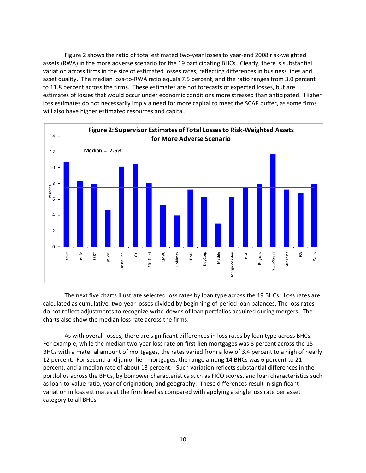Figure 2 shows the ratio of total estimated two-year losses to year-end 2008 risk-weighted assets (RWA) in the more adverse scenario for the 19 participating BHCs. Clearly, there is substantial variation across firms in the size of estimated losses rates, reflecting differences in business lines and asset quality. The median loss-to-RWA ratio equals 7.5 percent, and the ratio ranges from 3.0 percent to 11.8 percent across the firms. These estimates are not forecasts of expected losses, but are estimates of losses that would occur under economic conditions more stressed than anticipated. Higher loss estimates do not necessarily imply a need for more capital to meet the SCAP buffer, as some firms will also have higher estimated resources and capital.



The next five charts illustrate selected loss rates by loan type across the 19 BHCs. Loss rates are calculated as cumulative, two‐year losses divided by beginning‐of‐period loan balances. The loss rates do not reflect adjustments to recognize write‐downs of loan portfolios acquired during mergers. The charts also show the median loss rate across the firms.

As with overall losses, there are significant differences in loss rates by loan type across BHCs. For example, while the median two-year loss rate on first-lien mortgages was 8 percent across the 15 BHCs with a material amount of mortgages, the rates varied from a low of 3.4 percent to a high of nearly 12 percent. For second and junior lien mortgages, the range among 14 BHCs was 6 percent to 21 percent, and a median rate of about 13 percent. Such variation reflects substantial differences in the portfolios across the BHCs, by borrower characteristics such as FICO scores, and loan characteristics such as loan-to-value ratio, year of origination, and geography. These differences result in significant variation in loss estimates at the firm level as compared with applying a single loss rate per asset category to all BHCs.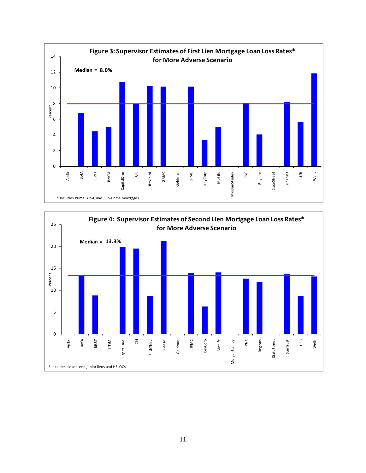

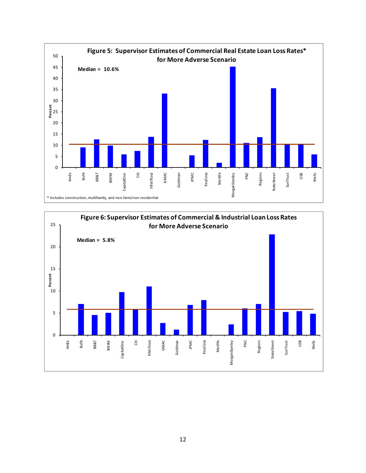

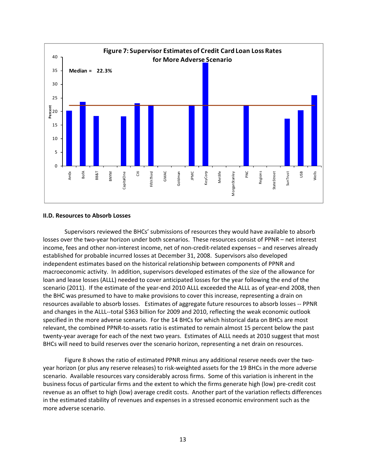

#### **II.D. Resources to Absorb Losses**

Supervisors reviewed the BHCs' submissions of resources they would have available to absorb losses over the two-year horizon under both scenarios. These resources consist of PPNR – net interest income, fees and other non-interest income, net of non-credit-related expenses – and reserves already established for probable incurred losses at December 31, 2008. Supervisors also developed independent estimates based on the historical relationship between components of PPNR and macroeconomic activity. In addition, supervisors developed estimates of the size of the allowance for loan and lease losses (ALLL) needed to cover anticipated losses for the year following the end of the scenario (2011). If the estimate of the year-end 2010 ALLL exceeded the ALLL as of year-end 2008, then the BHC was presumed to have to make provisions to cover this increase, representing a drain on resources available to absorb losses. Estimates of aggregate future resources to absorb losses ‐‐ PPNR and changes in the ALLL--total \$363 billion for 2009 and 2010, reflecting the weak economic outlook specified in the more adverse scenario. For the 14 BHCs for which historical data on BHCs are most relevant, the combined PPNR‐to‐assets ratio is estimated to remain almost 15 percent below the past twenty-year average for each of the next two years. Estimates of ALLL needs at 2010 suggest that most BHCs will need to build reserves over the scenario horizon, representing a net drain on resources.

Figure 8 shows the ratio of estimated PPNR minus any additional reserve needs over the twoyear horizon (or plus any reserve releases) to risk-weighted assets for the 19 BHCs in the more adverse scenario. Available resources vary considerably across firms. Some of this variation is inherent in the business focus of particular firms and the extent to which the firms generate high (low) pre‐credit cost revenue as an offset to high (low) average credit costs. Another part of the variation reflects differences in the estimated stability of revenues and expenses in a stressed economic environment such as the more adverse scenario.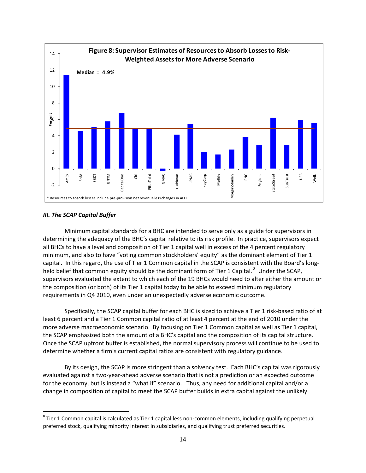

# *III. The SCAP Capital Buffer*

Minimum capital standards for a BHC are intended to serve only as a guide for supervisors in determining the adequacy of the BHC's capital relative to its risk profile. In practice, supervisors expect all BHCs to have a level and composition of Tier 1 capital well in excess of the 4 percent regulatory minimum, and also to have "voting common stockholders' equity" as the dominant element of Tier 1 capital. In this regard, the use of Tier 1 Common capital in the SCAP is consistent with the Board's long‐ held belief that common equity should be the dominant form of Tier 1 Capital.<sup>8</sup> Under the SCAP, supervisors evaluated the extent to which each of the 19 BHCs would need to alter either the amount or the composition (or both) of its Tier 1 capital today to be able to exceed minimum regulatory requirements in Q4 2010, even under an unexpectedly adverse economic outcome.

Specifically, the SCAP capital buffer for each BHC is sized to achieve a Tier 1 risk‐based ratio of at least 6 percent and a Tier 1 Common capital ratio of at least 4 percent at the end of 2010 under the more adverse macroeconomic scenario. By focusing on Tier 1 Common capital as well as Tier 1 capital, the SCAP emphasized both the amount of a BHC's capital and the composition of its capital structure. Once the SCAP upfront buffer is established, the normal supervisory process will continue to be used to determine whether a firm's current capital ratios are consistent with regulatory guidance.

By its design, the SCAP is more stringent than a solvency test. Each BHC's capital was rigorously evaluated against a two‐year‐ahead adverse scenario that is not a prediction or an expected outcome for the economy, but is instead a "what if" scenario. Thus, any need for additional capital and/or a change in composition of capital to meet the SCAP buffer builds in extra capital against the unlikely

<sup>&</sup>lt;sup>8</sup> Tier 1 Common capital is calculated as Tier 1 capital less non-common elements, including qualifying perpetual preferred stock, qualifying minority interest in subsidiaries, and qualifying trust preferred securities.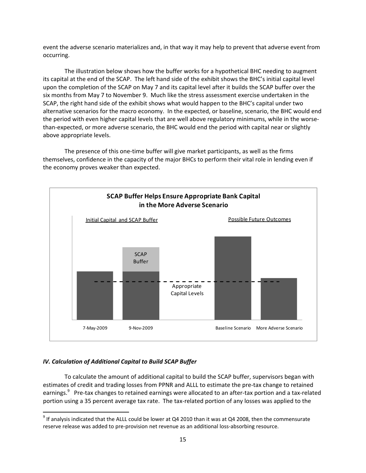event the adverse scenario materializes and, in that way it may help to prevent that adverse event from occurring.

The illustration below shows how the buffer works for a hypothetical BHC needing to augment its capital at the end of the SCAP. The left hand side of the exhibit shows the BHC's initial capital level upon the completion of the SCAP on May 7 and its capital level after it builds the SCAP buffer over the six months from May 7 to November 9. Much like the stress assessment exercise undertaken in the SCAP, the right hand side of the exhibit shows what would happen to the BHC's capital under two alternative scenarios for the macro economy. In the expected, or baseline, scenario, the BHC would end the period with even higher capital levels that are well above regulatory minimums, while in the worse‐ than-expected, or more adverse scenario, the BHC would end the period with capital near or slightly above appropriate levels.

The presence of this one-time buffer will give market participants, as well as the firms themselves, confidence in the capacity of the major BHCs to perform their vital role in lending even if the economy proves weaker than expected.



# *IV. Calculation of Additional Capital to Build SCAP Buffer*

To calculate the amount of additional capital to build the SCAP buffer, supervisors began with estimates of credit and trading losses from PPNR and ALLL to estimate the pre-tax change to retained earnings.<sup>9</sup> Pre-tax changes to retained earnings were allocated to an after-tax portion and a tax-related portion using a 35 percent average tax rate. The tax-related portion of any losses was applied to the

 $9$  If analysis indicated that the ALLL could be lower at Q4 2010 than it was at Q4 2008, then the commensurate reserve release was added to pre‐provision net revenue as an additional loss‐absorbing resource.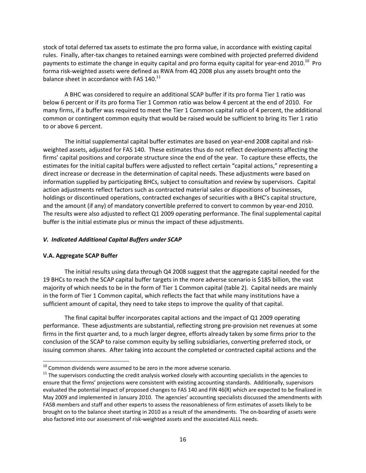stock of total deferred tax assets to estimate the pro forma value, in accordance with existing capital rules. Finally, after‐tax changes to retained earnings were combined with projected preferred dividend payments to estimate the change in equity capital and pro forma equity capital for year-end 2010.<sup>10</sup> Pro forma risk‐weighted assets were defined as RWA from 4Q 2008 plus any assets brought onto the balance sheet in accordance with FAS 140.<sup>11</sup>

A BHC was considered to require an additional SCAP buffer if its pro forma Tier 1 ratio was below 6 percent or if its pro forma Tier 1 Common ratio was below 4 percent at the end of 2010. For many firms, if a buffer was required to meet the Tier 1 Common capital ratio of 4 percent, the additional common or contingent common equity that would be raised would be sufficient to bring its Tier 1 ratio to or above 6 percent.

The initial supplemental capital buffer estimates are based on year‐end 2008 capital and risk‐ weighted assets, adjusted for FAS 140. These estimates thus do not reflect developments affecting the firms' capital positions and corporate structure since the end of the year. To capture these effects, the estimates for the initial capital buffers were adjusted to reflect certain "capital actions," representing a direct increase or decrease in the determination of capital needs. These adjustments were based on information supplied by participating BHCs, subject to consultation and review by supervisors. Capital action adjustments reflect factors such as contracted material sales or dispositions of businesses, holdings or discontinued operations, contracted exchanges of securities with a BHC's capital structure, and the amount (if any) of mandatory convertible preferred to convert to common by year-end 2010. The results were also adjusted to reflect Q1 2009 operating performance. The final supplemental capital buffer is the initial estimate plus or minus the impact of these adjustments.

### *V. Indicated Additional Capital Buffers under SCAP*

### **V.A. Aggregate SCAP Buffer**

The initial results using data through Q4 2008 suggest that the aggregate capital needed for the 19 BHCs to reach the SCAP capital buffer targets in the more adverse scenario is \$185 billion, the vast majority of which needs to be in the form of Tier 1 Common capital (table 2). Capital needs are mainly in the form of Tier 1 Common capital, which reflects the fact that while many institutions have a sufficient amount of capital, they need to take steps to improve the quality of that capital.

The final capital buffer incorporates capital actions and the impact of Q1 2009 operating performance. These adjustments are substantial, reflecting strong pre‐provision net revenues at some firms in the first quarter and, to a much larger degree, efforts already taken by some firms prior to the conclusion of the SCAP to raise common equity by selling subsidiaries, converting preferred stock, or issuing common shares. After taking into account the completed or contracted capital actions and the

 $10$  Common dividends were assumed to be zero in the more adverse scenario.

 $11$  The supervisors conducting the credit analysis worked closely with accounting specialists in the agencies to ensure that the firms' projections were consistent with existing accounting standards. Additionally, supervisors evaluated the potential impact of proposed changes to FAS 140 and FIN 46(R) which are expected to be finalized in May 2009 and implemented in January 2010. The agencies' accounting specialists discussed the amendments with FASB members and staff and other experts to assess the reasonableness of firm estimates of assets likely to be brought on to the balance sheet starting in 2010 as a result of the amendments. The on‐boarding of assets were also factored into our assessment of risk‐weighted assets and the associated ALLL needs.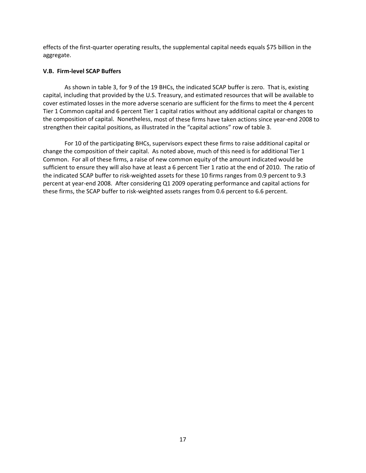effects of the first-quarter operating results, the supplemental capital needs equals \$75 billion in the aggregate.

# **V.B. Firm‐level SCAP Buffers**

As shown in table 3, for 9 of the 19 BHCs, the indicated SCAP buffer is zero. That is, existing capital, including that provided by the U.S. Treasury, and estimated resources that will be available to cover estimated losses in the more adverse scenario are sufficient for the firms to meet the 4 percent Tier 1 Common capital and 6 percent Tier 1 capital ratios without any additional capital or changes to the composition of capital. Nonetheless, most of these firms have taken actions since year‐end 2008 to strengthen their capital positions, as illustrated in the "capital actions" row of table 3.

For 10 of the participating BHCs, supervisors expect these firms to raise additional capital or change the composition of their capital. As noted above, much of this need is for additional Tier 1 Common. For all of these firms, a raise of new common equity of the amount indicated would be sufficient to ensure they will also have at least a 6 percent Tier 1 ratio at the end of 2010. The ratio of the indicated SCAP buffer to risk-weighted assets for these 10 firms ranges from 0.9 percent to 9.3 percent at year‐end 2008. After considering Q1 2009 operating performance and capital actions for these firms, the SCAP buffer to risk‐weighted assets ranges from 0.6 percent to 6.6 percent.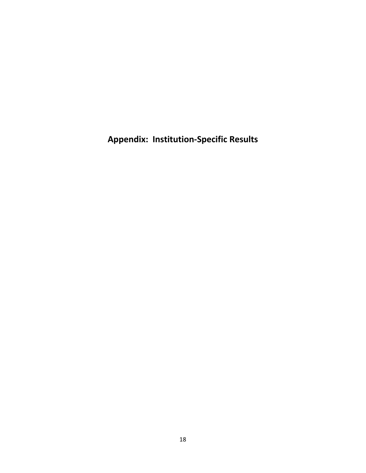**Appendix: Institution‐Specific Results**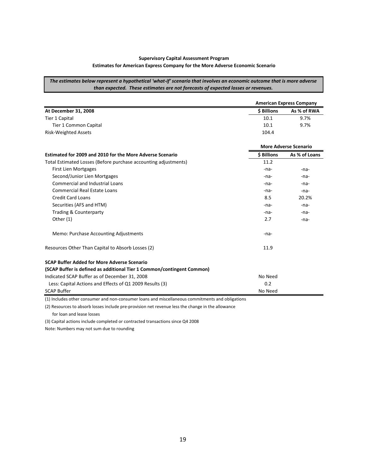#### **Supervisory Capital Assessment Program**

#### **Estimates for American Express Company for the More Adverse Economic Scenario**

The estimates below represent a hypothetical 'what-if' scenario that involves an economic outcome that is more adverse *than expected. These estimates are not forecasts of expected losses or revenues.* 

|                                                                        | <b>American Express Company</b> |                              |  |  |  |  |
|------------------------------------------------------------------------|---------------------------------|------------------------------|--|--|--|--|
| At December 31, 2008                                                   | <b>\$ Billions</b>              | As % of RWA                  |  |  |  |  |
| Tier 1 Capital                                                         | 10.1                            | 9.7%                         |  |  |  |  |
| Tier 1 Common Capital                                                  | 10.1                            | 9.7%                         |  |  |  |  |
| <b>Risk-Weighted Assets</b>                                            | 104.4                           |                              |  |  |  |  |
|                                                                        |                                 | <b>More Adverse Scenario</b> |  |  |  |  |
| Estimated for 2009 and 2010 for the More Adverse Scenario              | <b>\$ Billions</b>              | As % of Loans                |  |  |  |  |
| Total Estimated Losses (Before purchase accounting adjustments)        | 11.2                            |                              |  |  |  |  |
| <b>First Lien Mortgages</b>                                            | -na-                            | $-na-$                       |  |  |  |  |
| Second/Junior Lien Mortgages                                           | -na-                            | -na-                         |  |  |  |  |
| <b>Commercial and Industrial Loans</b>                                 | -na-                            | -na-                         |  |  |  |  |
| <b>Commercial Real Estate Loans</b>                                    | $-na-$                          | -na-                         |  |  |  |  |
| <b>Credit Card Loans</b>                                               | 8.5                             | 20.2%                        |  |  |  |  |
| Securities (AFS and HTM)                                               | -na-                            | $-na-$                       |  |  |  |  |
| Trading & Counterparty                                                 | -na-                            | $-na-$                       |  |  |  |  |
| Other $(1)$                                                            | 2.7                             | $-na-$                       |  |  |  |  |
| Memo: Purchase Accounting Adjustments                                  | -na-                            |                              |  |  |  |  |
| Resources Other Than Capital to Absorb Losses (2)                      | 11.9                            |                              |  |  |  |  |
| SCAP Buffer Added for More Adverse Scenario                            |                                 |                              |  |  |  |  |
| (SCAP Buffer is defined as additional Tier 1 Common/contingent Common) |                                 |                              |  |  |  |  |
| Indicated SCAP Buffer as of December 31, 2008                          | No Need                         |                              |  |  |  |  |
| Less: Capital Actions and Effects of Q1 2009 Results (3)               | 0.2                             |                              |  |  |  |  |
| <b>SCAP Buffer</b>                                                     | No Need                         |                              |  |  |  |  |

(1) Includes other consumer and non‐consumer loans and miscellaneous commitments and obligations

(2) Resources to absorb losses include pre‐provision net revenue less the change in the allowance

for loan and lease losses

(3) Capital actions include completed or contracted transactions since Q4 2008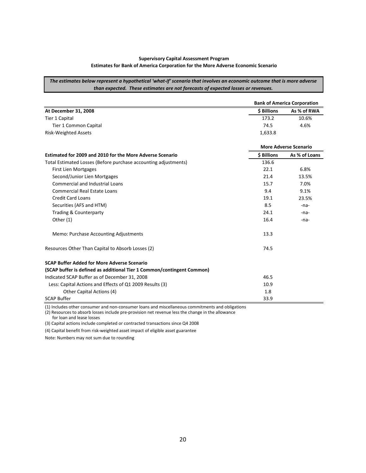#### **Supervisory Capital Assessment Program Estimates for Bank of America Corporation for the More Adverse Economic Scenario**

The estimates below represent a hypothetical 'what-if' scenario that involves an economic outcome that is more adverse *than expected. These estimates are not forecasts of expected losses or revenues.* 

|                                                                        | <b>Bank of America Corporation</b> |                              |  |  |  |  |
|------------------------------------------------------------------------|------------------------------------|------------------------------|--|--|--|--|
| At December 31, 2008                                                   | \$ Billions                        | As % of RWA                  |  |  |  |  |
| Tier 1 Capital                                                         | 173.2                              | 10.6%                        |  |  |  |  |
| <b>Tier 1 Common Capital</b>                                           | 74.5                               | 4.6%                         |  |  |  |  |
| <b>Risk-Weighted Assets</b>                                            | 1,633.8                            |                              |  |  |  |  |
|                                                                        |                                    | <b>More Adverse Scenario</b> |  |  |  |  |
| Estimated for 2009 and 2010 for the More Adverse Scenario              | \$ Billions                        | As % of Loans                |  |  |  |  |
| Total Estimated Losses (Before purchase accounting adjustments)        | 136.6                              |                              |  |  |  |  |
| <b>First Lien Mortgages</b>                                            | 22.1                               | 6.8%                         |  |  |  |  |
| Second/Junior Lien Mortgages                                           | 21.4                               | 13.5%                        |  |  |  |  |
| <b>Commercial and Industrial Loans</b>                                 | 15.7                               | 7.0%                         |  |  |  |  |
| <b>Commercial Real Estate Loans</b>                                    | 9.4                                | 9.1%                         |  |  |  |  |
| <b>Credit Card Loans</b>                                               | 19.1                               | 23.5%                        |  |  |  |  |
| Securities (AFS and HTM)                                               | 8.5                                | -na-                         |  |  |  |  |
| Trading & Counterparty                                                 | 24.1                               | -na-                         |  |  |  |  |
| Other $(1)$                                                            | 16.4                               | $-na-$                       |  |  |  |  |
| Memo: Purchase Accounting Adjustments                                  | 13.3                               |                              |  |  |  |  |
| Resources Other Than Capital to Absorb Losses (2)                      | 74.5                               |                              |  |  |  |  |
| <b>SCAP Buffer Added for More Adverse Scenario</b>                     |                                    |                              |  |  |  |  |
| (SCAP buffer is defined as additional Tier 1 Common/contingent Common) |                                    |                              |  |  |  |  |
| Indicated SCAP Buffer as of December 31, 2008                          | 46.5                               |                              |  |  |  |  |
| Less: Capital Actions and Effects of Q1 2009 Results (3)               | 10.9                               |                              |  |  |  |  |
| Other Capital Actions (4)                                              | 1.8                                |                              |  |  |  |  |
| <b>SCAP Buffer</b>                                                     | 33.9                               |                              |  |  |  |  |

(1) Includes other consumer and non‐consumer loans and miscellaneous commitments and obligations

(2) Resources to absorb losses include pre‐provision net revenue less the change in the allowance

for loan and lease losses

(3) Capital actions include completed or contracted transactions since Q4 2008

(4) Capital benefit from risk‐weighted asset impact of eligible asset guarantee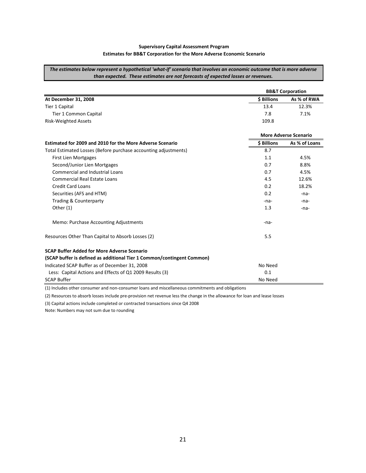#### **Supervisory Capital Assessment Program Estimates for BB&T Corporation for the More Adverse Economic Scenario**

The estimates below represent a hypothetical 'what-if' scenario that involves an economic outcome that is more adverse *than expected. These estimates are not forecasts of expected losses or revenues.* 

|                                                                        | <b>BB&amp;T Corporation</b> |                              |  |  |  |  |
|------------------------------------------------------------------------|-----------------------------|------------------------------|--|--|--|--|
| At December 31, 2008                                                   | \$ Billions                 | As % of RWA                  |  |  |  |  |
| Tier 1 Capital                                                         | 13.4                        | 12.3%                        |  |  |  |  |
| <b>Tier 1 Common Capital</b>                                           | 7.8                         | 7.1%                         |  |  |  |  |
| <b>Risk-Weighted Assets</b>                                            | 109.8                       |                              |  |  |  |  |
|                                                                        |                             | <b>More Adverse Scenario</b> |  |  |  |  |
| Estimated for 2009 and 2010 for the More Adverse Scenario              | <b>S</b> Billions           | As % of Loans                |  |  |  |  |
| Total Estimated Losses (Before purchase accounting adjustments)        | 8.7                         |                              |  |  |  |  |
| <b>First Lien Mortgages</b>                                            | 1.1                         | 4.5%                         |  |  |  |  |
| Second/Junior Lien Mortgages                                           | 0.7                         | 8.8%                         |  |  |  |  |
| <b>Commercial and Industrial Loans</b>                                 | 0.7                         | 4.5%                         |  |  |  |  |
| Commercial Real Estate Loans                                           | 4.5                         | 12.6%                        |  |  |  |  |
| <b>Credit Card Loans</b>                                               | 0.2                         | 18.2%                        |  |  |  |  |
| Securities (AFS and HTM)                                               | 0.2                         | $-na-$                       |  |  |  |  |
| Trading & Counterparty                                                 | -na-                        | -na-                         |  |  |  |  |
| Other $(1)$                                                            | 1.3                         | -na-                         |  |  |  |  |
| Memo: Purchase Accounting Adjustments                                  | -na-                        |                              |  |  |  |  |
| Resources Other Than Capital to Absorb Losses (2)                      | 5.5                         |                              |  |  |  |  |
| SCAP Buffer Added for More Adverse Scenario                            |                             |                              |  |  |  |  |
| (SCAP buffer is defined as additional Tier 1 Common/contingent Common) |                             |                              |  |  |  |  |
| Indicated SCAP Buffer as of December 31, 2008                          | No Need                     |                              |  |  |  |  |
| Less: Capital Actions and Effects of Q1 2009 Results (3)               | 0.1                         |                              |  |  |  |  |
| <b>SCAP Buffer</b>                                                     | No Need                     |                              |  |  |  |  |

(1) Includes other consumer and non‐consumer loans and miscellaneous commitments and obligations

(2) Resources to absorb losses include pre‐provision net revenue less the change in the allowance for loan and lease losses

(3) Capital actions include completed or contracted transactions since Q4 2008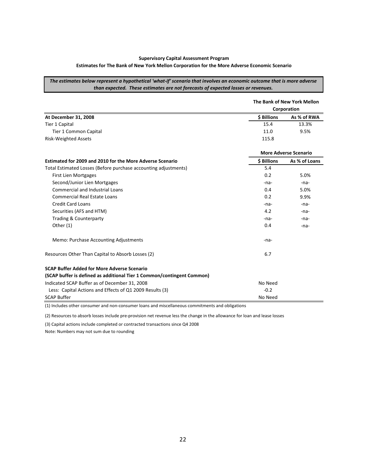#### **Supervisory Capital Assessment Program**

#### **Estimates for The Bank of New York Mellon Corporation for the More Adverse Economic Scenario**

The estimates below represent a hypothetical 'what-if' scenario that involves an economic outcome that is more adverse *than expected. These estimates are not forecasts of expected losses or revenues.* 

|                                                                        |             | The Bank of New York Mellon  |
|------------------------------------------------------------------------|-------------|------------------------------|
|                                                                        |             | Corporation                  |
| At December 31, 2008                                                   | \$ Billions | As % of RWA                  |
| <b>Tier 1 Capital</b>                                                  | 15.4        | 13.3%                        |
| Tier 1 Common Capital                                                  | 11.0        | 9.5%                         |
| <b>Risk-Weighted Assets</b>                                            | 115.8       |                              |
|                                                                        |             | <b>More Adverse Scenario</b> |
| Estimated for 2009 and 2010 for the More Adverse Scenario              | \$ Billions | As % of Loans                |
| Total Estimated Losses (Before purchase accounting adjustments)        | 5.4         |                              |
| <b>First Lien Mortgages</b>                                            | 0.2         | 5.0%                         |
| Second/Junior Lien Mortgages                                           | -na-        | $-na-$                       |
| <b>Commercial and Industrial Loans</b>                                 | 0.4         | 5.0%                         |
| <b>Commercial Real Estate Loans</b>                                    | 0.2         | 9.9%                         |
| <b>Credit Card Loans</b>                                               | -na-        | $-na-$                       |
| Securities (AFS and HTM)                                               | 4.2         | -na-                         |
| Trading & Counterparty                                                 | -na-        | $-na-$                       |
| Other $(1)$                                                            | 0.4         | -na-                         |
| Memo: Purchase Accounting Adjustments                                  | -na-        |                              |
| Resources Other Than Capital to Absorb Losses (2)                      | 6.7         |                              |
| <b>SCAP Buffer Added for More Adverse Scenario</b>                     |             |                              |
| (SCAP buffer is defined as additional Tier 1 Common/contingent Common) |             |                              |
| Indicated SCAP Buffer as of December 31, 2008                          | No Need     |                              |
| Less: Capital Actions and Effects of Q1 2009 Results (3)               | $-0.2$      |                              |
| <b>SCAP Buffer</b>                                                     | No Need     |                              |

(1) Includes other consumer and non‐consumer loans and miscellaneous commitments and obligations

(2) Resources to absorb losses include pre‐provision net revenue less the change in the allowance for loan and lease losses

(3) Capital actions include completed or contracted transactions since Q4 2008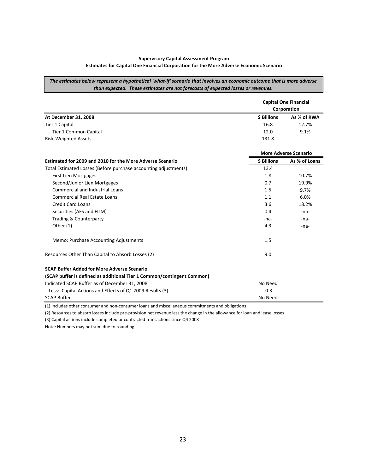# **Supervisory Capital Assessment Program**

#### **Estimates for Capital One Financial Corporation for the More Adverse Economic Scenario**

The estimates below represent a hypothetical 'what-if' scenario that involves an economic outcome that is more adverse *than expected. These estimates are not forecasts of expected losses or revenues.* 

|                                                                        | <b>Capital One Financial</b><br>Corporation |                              |  |  |
|------------------------------------------------------------------------|---------------------------------------------|------------------------------|--|--|
| At December 31, 2008                                                   | <b>S</b> Billions                           | As % of RWA                  |  |  |
| <b>Tier 1 Capital</b>                                                  | 16.8                                        | 12.7%                        |  |  |
| Tier 1 Common Capital                                                  | 12.0                                        | 9.1%                         |  |  |
| <b>Risk-Weighted Assets</b>                                            | 131.8                                       |                              |  |  |
|                                                                        |                                             | <b>More Adverse Scenario</b> |  |  |
| Estimated for 2009 and 2010 for the More Adverse Scenario              | <b>\$ Billions</b>                          | As % of Loans                |  |  |
| Total Estimated Losses (Before purchase accounting adjustments)        | 13.4                                        |                              |  |  |
| <b>First Lien Mortgages</b>                                            | 1.8                                         | 10.7%                        |  |  |
| Second/Junior Lien Mortgages                                           | 0.7                                         | 19.9%                        |  |  |
| <b>Commercial and Industrial Loans</b>                                 | 1.5                                         | 9.7%                         |  |  |
| Commercial Real Estate Loans                                           | 1.1                                         | 6.0%                         |  |  |
| <b>Credit Card Loans</b>                                               | 3.6                                         | 18.2%                        |  |  |
| Securities (AFS and HTM)                                               | 0.4                                         | $-na$                        |  |  |
| Trading & Counterparty                                                 | $-na$                                       | $-na-$                       |  |  |
| Other (1)                                                              | 4.3                                         | -na-                         |  |  |
| Memo: Purchase Accounting Adjustments                                  | 1.5                                         |                              |  |  |
| Resources Other Than Capital to Absorb Losses (2)                      | 9.0                                         |                              |  |  |
| <b>SCAP Buffer Added for More Adverse Scenario</b>                     |                                             |                              |  |  |
| (SCAP buffer is defined as additional Tier 1 Common/contingent Common) |                                             |                              |  |  |
| Indicated SCAP Buffer as of December 31, 2008                          | No Need                                     |                              |  |  |
| Less: Capital Actions and Effects of Q1 2009 Results (3)               | $-0.3$                                      |                              |  |  |
| <b>SCAP Buffer</b>                                                     | No Need                                     |                              |  |  |

(1) Includes other consumer and non‐consumer loans and miscellaneous commitments and obligations

(2) Resources to absorb losses include pre‐provision net revenue less the change in the allowance for loan and lease losses

(3) Capital actions include completed or contracted transactions since Q4 2008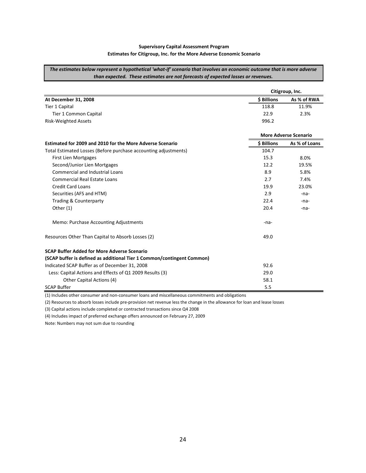#### **Supervisory Capital Assessment Program Estimates for Citigroup, Inc. for the More Adverse Economic Scenario**

The estimates below represent a hypothetical 'what-if' scenario that involves an economic outcome that is more adverse *than expected. These estimates are not forecasts of expected losses or revenues.* 

|                                                                        | Citigroup, Inc.    |                              |  |  |  |
|------------------------------------------------------------------------|--------------------|------------------------------|--|--|--|
| At December 31, 2008                                                   | <b>\$ Billions</b> | As % of RWA                  |  |  |  |
| <b>Tier 1 Capital</b>                                                  | 118.8              | 11.9%                        |  |  |  |
| Tier 1 Common Capital                                                  | 22.9               | 2.3%                         |  |  |  |
| <b>Risk-Weighted Assets</b>                                            | 996.2              |                              |  |  |  |
|                                                                        |                    | <b>More Adverse Scenario</b> |  |  |  |
| Estimated for 2009 and 2010 for the More Adverse Scenario              | \$ Billions        | As % of Loans                |  |  |  |
| Total Estimated Losses (Before purchase accounting adjustments)        | 104.7              |                              |  |  |  |
| First Lien Mortgages                                                   | 15.3               | 8.0%                         |  |  |  |
| Second/Junior Lien Mortgages                                           | 12.2               | 19.5%                        |  |  |  |
| <b>Commercial and Industrial Loans</b>                                 | 8.9                | 5.8%                         |  |  |  |
| <b>Commercial Real Estate Loans</b>                                    | 2.7                | 7.4%                         |  |  |  |
| <b>Credit Card Loans</b>                                               | 19.9               | 23.0%                        |  |  |  |
| Securities (AFS and HTM)                                               | 2.9                | -na-                         |  |  |  |
| <b>Trading &amp; Counterparty</b>                                      | 22.4               | -na-                         |  |  |  |
| Other $(1)$                                                            | 20.4               | -na-                         |  |  |  |
| Memo: Purchase Accounting Adjustments                                  | -na-               |                              |  |  |  |
| Resources Other Than Capital to Absorb Losses (2)                      | 49.0               |                              |  |  |  |
| <b>SCAP Buffer Added for More Adverse Scenario</b>                     |                    |                              |  |  |  |
| (SCAP buffer is defined as additional Tier 1 Common/contingent Common) |                    |                              |  |  |  |
| Indicated SCAP Buffer as of December 31, 2008                          | 92.6               |                              |  |  |  |
| Less: Capital Actions and Effects of Q1 2009 Results (3)               | 29.0               |                              |  |  |  |
| Other Capital Actions (4)                                              | 58.1               |                              |  |  |  |
| <b>SCAP Buffer</b>                                                     | 5.5                |                              |  |  |  |

(1) Includes other consumer and non‐consumer loans and miscellaneous commitments and obligations

(2) Resources to absorb losses include pre‐provision net revenue less the change in the allowance for loan and lease losses

(3) Capital actions include completed or contracted transactions since Q4 2008

(4) Includes impact of preferred exchange offers announced on February 27, 2009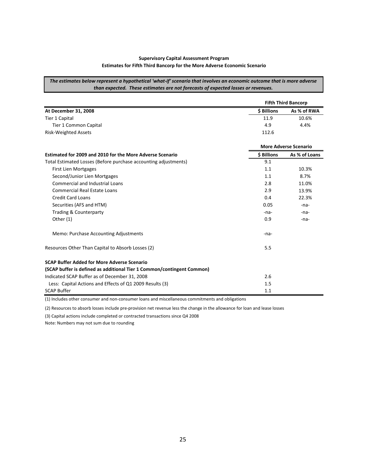#### **Supervisory Capital Assessment Program Estimates for Fifth Third Bancorp for the More Adverse Economic Scenario**

The estimates below represent a hypothetical 'what-if' scenario that involves an economic outcome that is more adverse *than expected. These estimates are not forecasts of expected losses or revenues.* 

|                                                                        | <b>Fifth Third Bancorp</b> |                              |  |  |  |
|------------------------------------------------------------------------|----------------------------|------------------------------|--|--|--|
| At December 31, 2008                                                   | \$ Billions                | As % of RWA                  |  |  |  |
| <b>Tier 1 Capital</b>                                                  | 11.9                       | 10.6%                        |  |  |  |
| Tier 1 Common Capital                                                  | 4.9                        | 4.4%                         |  |  |  |
| <b>Risk-Weighted Assets</b>                                            | 112.6                      |                              |  |  |  |
|                                                                        |                            | <b>More Adverse Scenario</b> |  |  |  |
| Estimated for 2009 and 2010 for the More Adverse Scenario              | \$ Billions                | As % of Loans                |  |  |  |
| Total Estimated Losses (Before purchase accounting adjustments)        | 9.1                        |                              |  |  |  |
| First Lien Mortgages                                                   | 1.1                        | 10.3%                        |  |  |  |
| Second/Junior Lien Mortgages                                           | 1.1                        | 8.7%                         |  |  |  |
| <b>Commercial and Industrial Loans</b>                                 | 2.8                        | 11.0%                        |  |  |  |
| <b>Commercial Real Estate Loans</b>                                    | 2.9                        | 13.9%                        |  |  |  |
| <b>Credit Card Loans</b>                                               | 0.4                        | 22.3%                        |  |  |  |
| Securities (AFS and HTM)                                               | 0.05                       | $-na$                        |  |  |  |
| <b>Trading &amp; Counterparty</b>                                      | $-na-$                     | -na-                         |  |  |  |
| Other (1)                                                              | 0.9                        | -na-                         |  |  |  |
| Memo: Purchase Accounting Adjustments                                  | -na-                       |                              |  |  |  |
| Resources Other Than Capital to Absorb Losses (2)                      | 5.5                        |                              |  |  |  |
| <b>SCAP Buffer Added for More Adverse Scenario</b>                     |                            |                              |  |  |  |
| (SCAP buffer is defined as additional Tier 1 Common/contingent Common) |                            |                              |  |  |  |
| Indicated SCAP Buffer as of December 31, 2008                          | 2.6                        |                              |  |  |  |
| Less: Capital Actions and Effects of Q1 2009 Results (3)               | 1.5                        |                              |  |  |  |
| <b>SCAP Buffer</b>                                                     | 1.1                        |                              |  |  |  |

(1) Includes other consumer and non‐consumer loans and miscellaneous commitments and obligations

(2) Resources to absorb losses include pre‐provision net revenue less the change in the allowance for loan and lease losses

(3) Capital actions include completed or contracted transactions since Q4 2008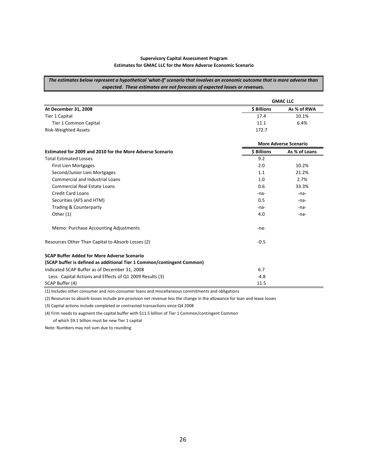#### **Supervisory Capital Assessment Program Estimates for GMAC LLC for the More Adverse Economic Scenario**

The estimates below represent a hypothetical 'what-if' scenario that involves an economic outcome that is more adverse than *expected. These estimates are not forecasts of expected losses or revenues.* 

|                                                                        | <b>GMAC LLC</b> |                              |  |  |  |
|------------------------------------------------------------------------|-----------------|------------------------------|--|--|--|
| At December 31, 2008                                                   | \$ Billions     | As % of RWA                  |  |  |  |
| Tier 1 Capital                                                         | 17.4            | 10.1%                        |  |  |  |
| Tier 1 Common Capital                                                  | 11.1            | 6.4%                         |  |  |  |
| <b>Risk-Weighted Assets</b>                                            | 172.7           |                              |  |  |  |
|                                                                        |                 | <b>More Adverse Scenario</b> |  |  |  |
| Estimated for 2009 and 2010 for the More Adverse Scenario              | \$ Billions     | As % of Loans                |  |  |  |
| <b>Total Estimated Losses</b>                                          | 9.2             |                              |  |  |  |
| <b>First Lien Mortgages</b>                                            | 2.0             | 10.2%                        |  |  |  |
| Second/Junior Lien Mortgages                                           | 1.1             | 21.2%                        |  |  |  |
| <b>Commercial and Industrial Loans</b>                                 | 1.0             | 2.7%                         |  |  |  |
| <b>Commercial Real Estate Loans</b>                                    | 0.6             | 33.3%                        |  |  |  |
| <b>Credit Card Loans</b>                                               | -na-            | $-na-$                       |  |  |  |
| Securities (AFS and HTM)                                               | 0.5             | $-na-$                       |  |  |  |
| <b>Trading &amp; Counterparty</b>                                      | -na-            | -na-                         |  |  |  |
| Other (1)                                                              | 4.0             | -na-                         |  |  |  |
| Memo: Purchase Accounting Adjustments                                  | -na-            |                              |  |  |  |
| Resources Other Than Capital to Absorb Losses (2)                      | $-0.5$          |                              |  |  |  |
| <b>SCAP Buffer Added for More Adverse Scenario</b>                     |                 |                              |  |  |  |
| (SCAP buffer is defined as additional Tier 1 Common/contingent Common) |                 |                              |  |  |  |
| Indicated SCAP Buffer as of December 31, 2008                          | 6.7             |                              |  |  |  |
| Less: Capital Actions and Effects of Q1 2009 Results (3)               | $-4.8$          |                              |  |  |  |
| SCAP Buffer (4)                                                        | 11.5            |                              |  |  |  |

(1) Includes other consumer and non‐consumer loans and miscellaneous commitments and obligations

(2) Resources to absorb losses include pre‐provision net revenue less the change in the allowance for loan and lease losses

(3) Capital actions include completed or contracted transactions since Q4 2008

(4) Firm needs to augment the capital buffer with \$11.5 billion of Tier 1 Common/contingent Common of which \$9.1 billion must be new Tier 1 capital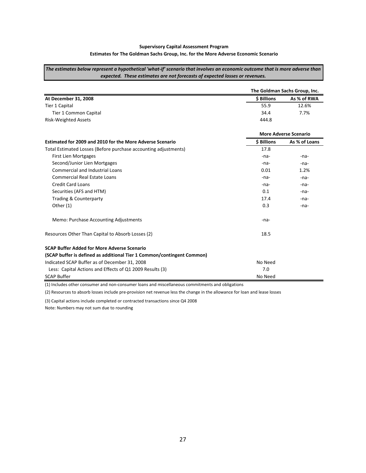#### **Supervisory Capital Assessment Program Estimates for The Goldman Sachs Group, Inc. for the More Adverse Economic Scenario**

The estimates below represent a hypothetical 'what-if' scenario that involves an economic outcome that is more adverse than *expected. These estimates are not forecasts of expected losses or revenues.* 

|                                                                        | The Goldman Sachs Group, Inc. |                              |  |  |  |
|------------------------------------------------------------------------|-------------------------------|------------------------------|--|--|--|
| At December 31, 2008                                                   | \$ Billions                   | As % of RWA                  |  |  |  |
| Tier 1 Capital                                                         | 55.9                          | 12.6%                        |  |  |  |
| Tier 1 Common Capital                                                  | 34.4                          | 7.7%                         |  |  |  |
| <b>Risk-Weighted Assets</b>                                            | 444.8                         |                              |  |  |  |
|                                                                        |                               | <b>More Adverse Scenario</b> |  |  |  |
| Estimated for 2009 and 2010 for the More Adverse Scenario              | <b>\$ Billions</b>            | As % of Loans                |  |  |  |
| Total Estimated Losses (Before purchase accounting adjustments)        | 17.8                          |                              |  |  |  |
| <b>First Lien Mortgages</b>                                            | -na-                          | -na-                         |  |  |  |
| Second/Junior Lien Mortgages                                           | -na-                          | -na-                         |  |  |  |
| <b>Commercial and Industrial Loans</b>                                 | 0.01                          | 1.2%                         |  |  |  |
| Commercial Real Estate Loans                                           | $-na$                         | $-na-$                       |  |  |  |
| <b>Credit Card Loans</b>                                               | -na-                          | $-na-$                       |  |  |  |
| Securities (AFS and HTM)                                               | 0.1                           | -na-                         |  |  |  |
| Trading & Counterparty                                                 | 17.4                          | -na-                         |  |  |  |
| Other (1)                                                              | 0.3                           | $-na$                        |  |  |  |
| Memo: Purchase Accounting Adjustments                                  | $-na$                         |                              |  |  |  |
| Resources Other Than Capital to Absorb Losses (2)                      | 18.5                          |                              |  |  |  |
| <b>SCAP Buffer Added for More Adverse Scenario</b>                     |                               |                              |  |  |  |
| (SCAP buffer is defined as additional Tier 1 Common/contingent Common) |                               |                              |  |  |  |
| Indicated SCAP Buffer as of December 31, 2008                          | No Need                       |                              |  |  |  |
| Less: Capital Actions and Effects of Q1 2009 Results (3)               | 7.0                           |                              |  |  |  |
| <b>SCAP Buffer</b>                                                     | No Need                       |                              |  |  |  |

(1) Includes other consumer and non‐consumer loans and miscellaneous commitments and obligations

(2) Resources to absorb losses include pre‐provision net revenue less the change in the allowance for loan and lease losses

(3) Capital actions include completed or contracted transactions since Q4 2008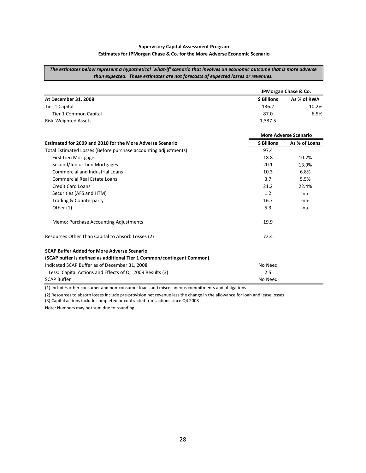#### **Supervisory Capital Assessment Program Estimates for JPMorgan Chase & Co. for the More Adverse Economic Scenario**

The estimates below represent a hypothetical 'what-if' scenario that involves an economic outcome that is more adverse *than expected. These estimates are not forecasts of expected losses or revenues.* 

|                                                                        | JPMorgan Chase & Co.         |               |
|------------------------------------------------------------------------|------------------------------|---------------|
| At December 31, 2008                                                   | <b>\$ Billions</b>           | As % of RWA   |
| Tier 1 Capital                                                         | 136.2                        | 10.2%         |
| Tier 1 Common Capital                                                  | 87.0                         | 6.5%          |
| <b>Risk-Weighted Assets</b>                                            | 1,337.5                      |               |
|                                                                        | <b>More Adverse Scenario</b> |               |
| Estimated for 2009 and 2010 for the More Adverse Scenario              | <b>S</b> Billions            | As % of Loans |
| Total Estimated Losses (Before purchase accounting adjustments)        | 97.4                         |               |
| <b>First Lien Mortgages</b>                                            | 18.8                         | 10.2%         |
| Second/Junior Lien Mortgages                                           | 20.1                         | 13.9%         |
| <b>Commercial and Industrial Loans</b>                                 | 10.3                         | 6.8%          |
| Commercial Real Estate Loans                                           | 3.7                          | 5.5%          |
| <b>Credit Card Loans</b>                                               | 21.2                         | 22.4%         |
| Securities (AFS and HTM)                                               | 1.2                          | -na-          |
| Trading & Counterparty                                                 | 16.7                         | -na-          |
| Other (1)                                                              | 5.3                          | $-na-$        |
| Memo: Purchase Accounting Adjustments                                  | 19.9                         |               |
| Resources Other Than Capital to Absorb Losses (2)                      | 72.4                         |               |
| <b>SCAP Buffer Added for More Adverse Scenario</b>                     |                              |               |
| (SCAP buffer is defined as additional Tier 1 Common/contingent Common) |                              |               |
| Indicated SCAP Buffer as of December 31, 2008                          | No Need                      |               |
| Less: Capital Actions and Effects of Q1 2009 Results (3)               | 2.5                          |               |
| <b>SCAP Buffer</b>                                                     | No Need                      |               |

(1) Includes other consumer and non‐consumer loans and miscellaneous commitments and obligations

(2) Resources to absorb losses include pre‐provision net revenue less the change in the allowance for loan and lease losses

(3) Capital actions include completed or contracted transactions since Q4 2008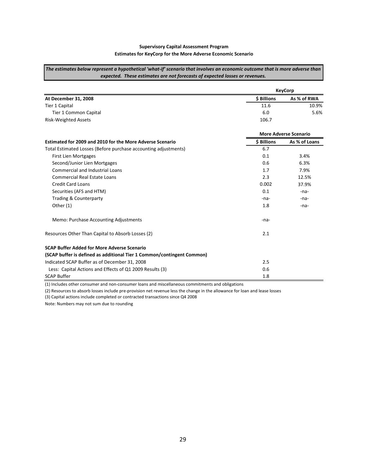#### **Supervisory Capital Assessment Program Estimates for KeyCorp for the More Adverse Economic Scenario**

The estimates below represent a hypothetical 'what-if' scenario that involves an economic outcome that is more adverse than *expected. These estimates are not forecasts of expected losses or revenues.* 

|                                                                        |                              | <b>KeyCorp</b> |
|------------------------------------------------------------------------|------------------------------|----------------|
| At December 31, 2008                                                   | \$ Billions                  | As % of RWA    |
| Tier 1 Capital                                                         | 11.6                         | 10.9%          |
| Tier 1 Common Capital                                                  | 6.0                          | 5.6%           |
| <b>Risk-Weighted Assets</b>                                            | 106.7                        |                |
|                                                                        | <b>More Adverse Scenario</b> |                |
| Estimated for 2009 and 2010 for the More Adverse Scenario              | <b>\$ Billions</b>           | As % of Loans  |
| Total Estimated Losses (Before purchase accounting adjustments)        | 6.7                          |                |
| <b>First Lien Mortgages</b>                                            | 0.1                          | 3.4%           |
| Second/Junior Lien Mortgages                                           | 0.6                          | 6.3%           |
| <b>Commercial and Industrial Loans</b>                                 | 1.7                          | 7.9%           |
| Commercial Real Estate Loans                                           | 2.3                          | 12.5%          |
| <b>Credit Card Loans</b>                                               | 0.002                        | 37.9%          |
| Securities (AFS and HTM)                                               | 0.1                          | $-na$          |
| Trading & Counterparty                                                 | -na-                         | $-na$          |
| Other (1)                                                              | 1.8                          | $-na$          |
| Memo: Purchase Accounting Adjustments                                  | -na-                         |                |
| Resources Other Than Capital to Absorb Losses (2)                      | 2.1                          |                |
| <b>SCAP Buffer Added for More Adverse Scenario</b>                     |                              |                |
| (SCAP buffer is defined as additional Tier 1 Common/contingent Common) |                              |                |
| Indicated SCAP Buffer as of December 31, 2008                          | 2.5                          |                |
| Less: Capital Actions and Effects of Q1 2009 Results (3)               | 0.6                          |                |
| <b>SCAP Buffer</b>                                                     | 1.8                          |                |

(1) Includes other consumer and non‐consumer loans and miscellaneous commitments and obligations

(2) Resources to absorb losses include pre‐provision net revenue less the change in the allowance for loan and lease losses

(3) Capital actions include completed or contracted transactions since Q4 2008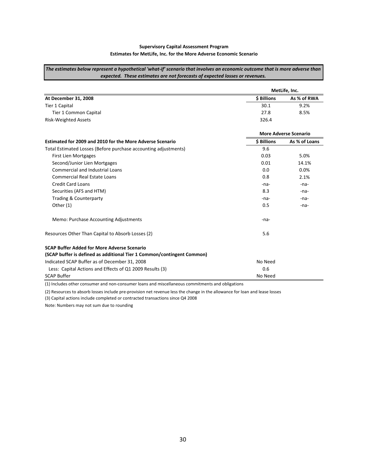#### **Supervisory Capital Assessment Program Estimates for MetLife, Inc. for the More Adverse Economic Scenario**

The estimates below represent a hypothetical 'what-if' scenario that involves an economic outcome that is more adverse than *expected. These estimates are not forecasts of expected losses or revenues.* 

|                                                                        | MetLife, Inc.                |               |
|------------------------------------------------------------------------|------------------------------|---------------|
| At December 31, 2008                                                   | <b>\$ Billions</b>           | As % of RWA   |
| Tier 1 Capital                                                         | 30.1                         | 9.2%          |
| Tier 1 Common Capital                                                  | 27.8                         | 8.5%          |
| <b>Risk-Weighted Assets</b>                                            | 326.4                        |               |
|                                                                        | <b>More Adverse Scenario</b> |               |
| Estimated for 2009 and 2010 for the More Adverse Scenario              | <b>S</b> Billions            | As % of Loans |
| Total Estimated Losses (Before purchase accounting adjustments)        | 9.6                          |               |
| <b>First Lien Mortgages</b>                                            | 0.03                         | 5.0%          |
| Second/Junior Lien Mortgages                                           | 0.01                         | 14.1%         |
| <b>Commercial and Industrial Loans</b>                                 | 0.0                          | 0.0%          |
| <b>Commercial Real Estate Loans</b>                                    | 0.8                          | 2.1%          |
| <b>Credit Card Loans</b>                                               | -na-                         | $-na-$        |
| Securities (AFS and HTM)                                               | 8.3                          | $-na-$        |
| <b>Trading &amp; Counterparty</b>                                      | -na-                         | -na-          |
| Other $(1)$                                                            | 0.5                          | $-na-$        |
| Memo: Purchase Accounting Adjustments                                  | -na-                         |               |
| Resources Other Than Capital to Absorb Losses (2)                      | 5.6                          |               |
| <b>SCAP Buffer Added for More Adverse Scenario</b>                     |                              |               |
| (SCAP buffer is defined as additional Tier 1 Common/contingent Common) |                              |               |
| Indicated SCAP Buffer as of December 31, 2008                          | No Need                      |               |
| Less: Capital Actions and Effects of Q1 2009 Results (3)               | 0.6                          |               |
| <b>SCAP Buffer</b>                                                     | No Need                      |               |

(1) Includes other consumer and non‐consumer loans and miscellaneous commitments and obligations

(2) Resources to absorb losses include pre‐provision net revenue less the change in the allowance for loan and lease losses

(3) Capital actions include completed or contracted transactions since Q4 2008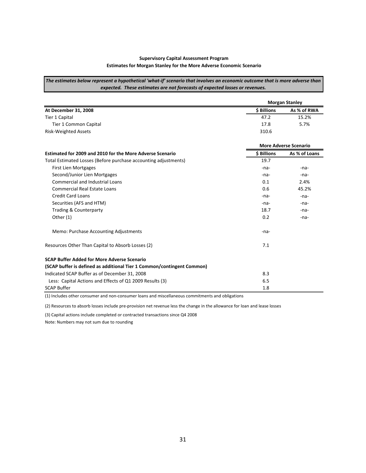#### **Supervisory Capital Assessment Program Estimates for Morgan Stanley for the More Adverse Economic Scenario**

The estimates below represent a hypothetical 'what-if' scenario that involves an economic outcome that is more adverse than *expected. These estimates are not forecasts of expected losses or revenues.* 

|                                                                        | <b>Morgan Stanley</b> |                              |  |
|------------------------------------------------------------------------|-----------------------|------------------------------|--|
| At December 31, 2008                                                   | \$ Billions           | As % of RWA                  |  |
| Tier 1 Capital                                                         | 47.2                  | 15.2%                        |  |
| Tier 1 Common Capital                                                  | 17.8                  | 5.7%                         |  |
| <b>Risk-Weighted Assets</b>                                            | 310.6                 |                              |  |
|                                                                        |                       | <b>More Adverse Scenario</b> |  |
| Estimated for 2009 and 2010 for the More Adverse Scenario              | <b>\$ Billions</b>    | As % of Loans                |  |
| Total Estimated Losses (Before purchase accounting adjustments)        | 19.7                  |                              |  |
| <b>First Lien Mortgages</b>                                            | $-na-$                | $-na$                        |  |
| Second/Junior Lien Mortgages                                           | -na-                  | $-na$                        |  |
| <b>Commercial and Industrial Loans</b>                                 | 0.1                   | 2.4%                         |  |
| Commercial Real Estate Loans                                           | 0.6                   | 45.2%                        |  |
| <b>Credit Card Loans</b>                                               | $-na-$                | $-na-$                       |  |
| Securities (AFS and HTM)                                               | $-na-$                | $-na$                        |  |
| <b>Trading &amp; Counterparty</b>                                      | 18.7                  | -na-                         |  |
| Other (1)                                                              | 0.2                   | $-na$                        |  |
| Memo: Purchase Accounting Adjustments                                  | -na-                  |                              |  |
| Resources Other Than Capital to Absorb Losses (2)                      | 7.1                   |                              |  |
| <b>SCAP Buffer Added for More Adverse Scenario</b>                     |                       |                              |  |
| (SCAP buffer is defined as additional Tier 1 Common/contingent Common) |                       |                              |  |
| Indicated SCAP Buffer as of December 31, 2008                          | 8.3                   |                              |  |
| Less: Capital Actions and Effects of Q1 2009 Results (3)               | 6.5                   |                              |  |
| <b>SCAP Buffer</b>                                                     | 1.8                   |                              |  |

(1) Includes other consumer and non‐consumer loans and miscellaneous commitments and obligations

(2) Resources to absorb losses include pre‐provision net revenue less the change in the allowance for loan and lease losses

(3) Capital actions include completed or contracted transactions since Q4 2008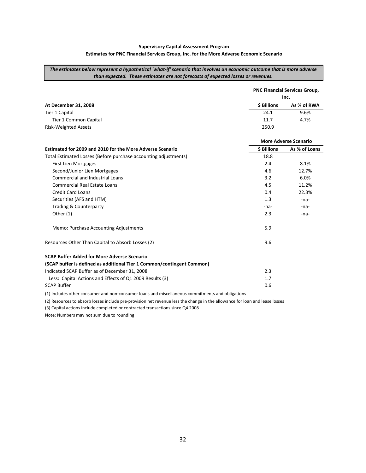#### **Supervisory Capital Assessment Program Estimates for PNC Financial Services Group, Inc. for the More Adverse Economic Scenario**

The estimates below represent a hypothetical 'what-if' scenario that involves an economic outcome that is more adverse *than expected. These estimates are not forecasts of expected losses or revenues.* 

|                                                                        | <b>PNC Financial Services Group,</b> |               |
|------------------------------------------------------------------------|--------------------------------------|---------------|
|                                                                        | Inc.                                 |               |
| At December 31, 2008                                                   | \$ Billions                          | As % of RWA   |
| Tier 1 Capital                                                         | 24.1                                 | 9.6%          |
| Tier 1 Common Capital                                                  | 11.7                                 | 4.7%          |
| <b>Risk-Weighted Assets</b>                                            | 250.9                                |               |
|                                                                        | <b>More Adverse Scenario</b>         |               |
| Estimated for 2009 and 2010 for the More Adverse Scenario              | \$ Billions                          | As % of Loans |
| Total Estimated Losses (Before purchase accounting adjustments)        | 18.8                                 |               |
| First Lien Mortgages                                                   | 2.4                                  | 8.1%          |
| Second/Junior Lien Mortgages                                           | 4.6                                  | 12.7%         |
| <b>Commercial and Industrial Loans</b>                                 | 3.2                                  | 6.0%          |
| <b>Commercial Real Estate Loans</b>                                    | 4.5                                  | 11.2%         |
| <b>Credit Card Loans</b>                                               | 0.4                                  | 22.3%         |
| Securities (AFS and HTM)                                               | 1.3                                  | -na-          |
| <b>Trading &amp; Counterparty</b>                                      | -na-                                 | $-na-$        |
| Other $(1)$                                                            | 2.3                                  | -na-          |
| Memo: Purchase Accounting Adjustments                                  | 5.9                                  |               |
| Resources Other Than Capital to Absorb Losses (2)                      | 9.6                                  |               |
| <b>SCAP Buffer Added for More Adverse Scenario</b>                     |                                      |               |
| (SCAP buffer is defined as additional Tier 1 Common/contingent Common) |                                      |               |
| Indicated SCAP Buffer as of December 31, 2008                          | 2.3                                  |               |
| Less: Capital Actions and Effects of Q1 2009 Results (3)               | 1.7                                  |               |
| <b>SCAP Buffer</b>                                                     | 0.6                                  |               |

(1) Includes other consumer and non‐consumer loans and miscellaneous commitments and obligations

(2) Resources to absorb losses include pre‐provision net revenue less the change in the allowance for loan and lease losses

(3) Capital actions include completed or contracted transactions since Q4 2008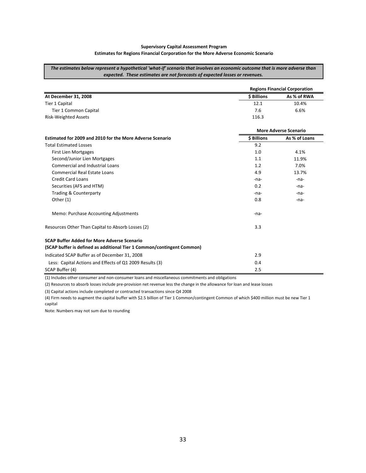#### **Supervisory Capital Assessment Program Estimates for Regions Financial Corporation for the More Adverse Economic Scenario**

The estimates below represent a hypothetical 'what-if' scenario that involves an economic outcome that is more adverse than *expected. These estimates are not forecasts of expected losses or revenues.* 

|                                                                        | <b>Regions Financial Corporation</b> |                              |
|------------------------------------------------------------------------|--------------------------------------|------------------------------|
| At December 31, 2008                                                   | \$ Billions                          | As % of RWA                  |
| Tier 1 Capital                                                         | 12.1                                 | 10.4%                        |
| Tier 1 Common Capital                                                  | 7.6                                  | 6.6%                         |
| <b>Risk-Weighted Assets</b>                                            | 116.3                                |                              |
|                                                                        |                                      | <b>More Adverse Scenario</b> |
| Estimated for 2009 and 2010 for the More Adverse Scenario              | \$ Billions                          | As % of Loans                |
| <b>Total Estimated Losses</b>                                          | 9.2                                  |                              |
| First Lien Mortgages                                                   | 1.0                                  | 4.1%                         |
| Second/Junior Lien Mortgages                                           | 1.1                                  | 11.9%                        |
| <b>Commercial and Industrial Loans</b>                                 | 1.2                                  | 7.0%                         |
| <b>Commercial Real Estate Loans</b>                                    | 4.9                                  | 13.7%                        |
| <b>Credit Card Loans</b>                                               | -na-                                 | -na-                         |
| Securities (AFS and HTM)                                               | 0.2                                  | -na-                         |
| <b>Trading &amp; Counterparty</b>                                      | -na-                                 | -na-                         |
| Other (1)                                                              | 0.8                                  | -na-                         |
| Memo: Purchase Accounting Adjustments                                  | -na-                                 |                              |
| Resources Other Than Capital to Absorb Losses (2)                      | 3.3                                  |                              |
| <b>SCAP Buffer Added for More Adverse Scenario</b>                     |                                      |                              |
| (SCAP buffer is defined as additional Tier 1 Common/contingent Common) |                                      |                              |
| Indicated SCAP Buffer as of December 31, 2008                          | 2.9                                  |                              |
| Less: Capital Actions and Effects of Q1 2009 Results (3)               | 0.4                                  |                              |
| SCAP Buffer (4)                                                        | 2.5                                  |                              |

(1) Includes other consumer and non‐consumer loans and miscellaneous commitments and obligations

(2) Resources to absorb losses include pre‐provision net revenue less the change in the allowance for loan and lease losses

(3) Capital actions include completed or contracted transactions since Q4 2008

(4) Firm needs to augment the capital buffer with \$2.5 billion of Tier 1 Common/contingent Common of which \$400 million must be new Tier 1 capital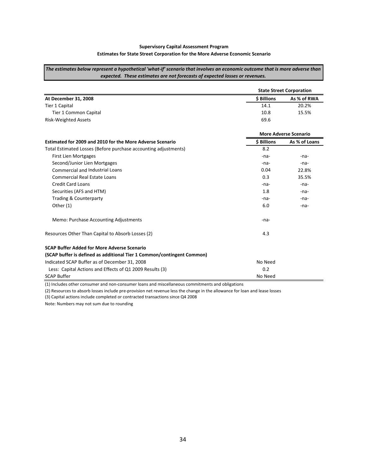#### **Supervisory Capital Assessment Program Estimates for State Street Corporation for the More Adverse Economic Scenario**

The estimates below represent a hypothetical 'what-if' scenario that involves an economic outcome that is more adverse than *expected. These estimates are not forecasts of expected losses or revenues.* 

|                                                                        | <b>State Street Corporation</b> |               |
|------------------------------------------------------------------------|---------------------------------|---------------|
| At December 31, 2008                                                   | \$ Billions                     | As % of RWA   |
| Tier 1 Capital                                                         | 14.1                            | 20.2%         |
| Tier 1 Common Capital                                                  | 10.8                            | 15.5%         |
| <b>Risk-Weighted Assets</b>                                            | 69.6                            |               |
|                                                                        | <b>More Adverse Scenario</b>    |               |
| Estimated for 2009 and 2010 for the More Adverse Scenario              | \$ Billions                     | As % of Loans |
| Total Estimated Losses (Before purchase accounting adjustments)        | 8.2                             |               |
| <b>First Lien Mortgages</b>                                            | $-na$                           | -na-          |
| Second/Junior Lien Mortgages                                           | -na-                            | -na-          |
| <b>Commercial and Industrial Loans</b>                                 | 0.04                            | 22.8%         |
| Commercial Real Estate Loans                                           | 0.3                             | 35.5%         |
| <b>Credit Card Loans</b>                                               | -na-                            | -na-          |
| Securities (AFS and HTM)                                               | 1.8                             | $-na-$        |
| Trading & Counterparty                                                 | $-na-$                          | $-na$         |
| Other (1)                                                              | 6.0                             | $-na$         |
| Memo: Purchase Accounting Adjustments                                  | $-na-$                          |               |
| Resources Other Than Capital to Absorb Losses (2)                      | 4.3                             |               |
| <b>SCAP Buffer Added for More Adverse Scenario</b>                     |                                 |               |
| (SCAP buffer is defined as additional Tier 1 Common/contingent Common) |                                 |               |
| Indicated SCAP Buffer as of December 31, 2008                          | No Need                         |               |
| Less: Capital Actions and Effects of Q1 2009 Results (3)               | 0.2                             |               |
| <b>SCAP Buffer</b>                                                     | No Need                         |               |

(1) Includes other consumer and non‐consumer loans and miscellaneous commitments and obligations

(2) Resources to absorb losses include pre‐provision net revenue less the change in the allowance for loan and lease losses

(3) Capital actions include completed or contracted transactions since Q4 2008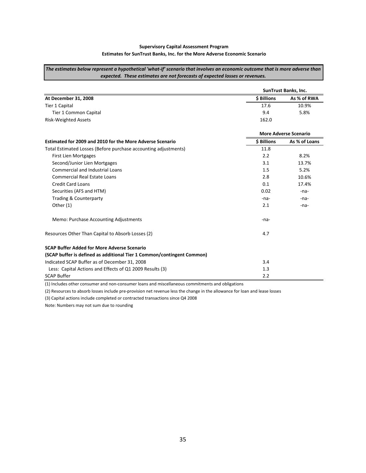#### **Supervisory Capital Assessment Program Estimates for SunTrust Banks, Inc. for the More Adverse Economic Scenario**

The estimates below represent a hypothetical 'what-if' scenario that involves an economic outcome that is more adverse than *expected. These estimates are not forecasts of expected losses or revenues.* 

|                                                                        |                              | SunTrust Banks, Inc. |
|------------------------------------------------------------------------|------------------------------|----------------------|
| At December 31, 2008                                                   | \$ Billions                  | As % of RWA          |
| Tier 1 Capital                                                         | 17.6                         | 10.9%                |
| Tier 1 Common Capital                                                  | 9.4                          | 5.8%                 |
| <b>Risk-Weighted Assets</b>                                            | 162.0                        |                      |
|                                                                        | <b>More Adverse Scenario</b> |                      |
| Estimated for 2009 and 2010 for the More Adverse Scenario              | \$ Billions                  | As % of Loans        |
| Total Estimated Losses (Before purchase accounting adjustments)        | 11.8                         |                      |
| <b>First Lien Mortgages</b>                                            | 2.2                          | 8.2%                 |
| Second/Junior Lien Mortgages                                           | 3.1                          | 13.7%                |
| <b>Commercial and Industrial Loans</b>                                 | 1.5                          | 5.2%                 |
| <b>Commercial Real Estate Loans</b>                                    | 2.8                          | 10.6%                |
| <b>Credit Card Loans</b>                                               | 0.1                          | 17.4%                |
| Securities (AFS and HTM)                                               | 0.02                         | $-na-$               |
| <b>Trading &amp; Counterparty</b>                                      | $-na-$                       | $-na-$               |
| Other (1)                                                              | 2.1                          | $-na$                |
| Memo: Purchase Accounting Adjustments                                  | -na-                         |                      |
| Resources Other Than Capital to Absorb Losses (2)                      | 4.7                          |                      |
| <b>SCAP Buffer Added for More Adverse Scenario</b>                     |                              |                      |
| (SCAP buffer is defined as additional Tier 1 Common/contingent Common) |                              |                      |
| Indicated SCAP Buffer as of December 31, 2008                          | 3.4                          |                      |
| Less: Capital Actions and Effects of Q1 2009 Results (3)               | 1.3                          |                      |
| <b>SCAP Buffer</b>                                                     | 2.2                          |                      |

(1) Includes other consumer and non‐consumer loans and miscellaneous commitments and obligations

(2) Resources to absorb losses include pre‐provision net revenue less the change in the allowance for loan and lease losses

(3) Capital actions include completed or contracted transactions since Q4 2008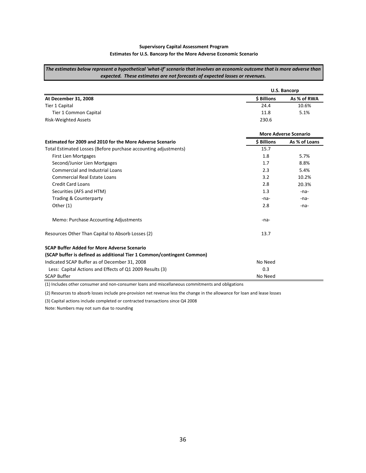#### **Supervisory Capital Assessment Program Estimates for U.S. Bancorp for the More Adverse Economic Scenario**

The estimates below represent a hypothetical 'what-if' scenario that involves an economic outcome that is more adverse than *expected. These estimates are not forecasts of expected losses or revenues.* 

|                                                                        | U.S. Bancorp                 |               |
|------------------------------------------------------------------------|------------------------------|---------------|
| At December 31, 2008                                                   | \$ Billions                  | As % of RWA   |
| Tier 1 Capital                                                         | 24.4                         | 10.6%         |
| Tier 1 Common Capital                                                  | 11.8                         | 5.1%          |
| <b>Risk-Weighted Assets</b>                                            | 230.6                        |               |
|                                                                        | <b>More Adverse Scenario</b> |               |
| Estimated for 2009 and 2010 for the More Adverse Scenario              | \$ Billions                  | As % of Loans |
| Total Estimated Losses (Before purchase accounting adjustments)        | 15.7                         |               |
| <b>First Lien Mortgages</b>                                            | 1.8                          | 5.7%          |
| Second/Junior Lien Mortgages                                           | 1.7                          | 8.8%          |
| <b>Commercial and Industrial Loans</b>                                 | 2.3                          | 5.4%          |
| <b>Commercial Real Estate Loans</b>                                    | 3.2                          | 10.2%         |
| <b>Credit Card Loans</b>                                               | 2.8                          | 20.3%         |
| Securities (AFS and HTM)                                               | 1.3                          | $-na-$        |
| <b>Trading &amp; Counterparty</b>                                      | -na-                         | -na-          |
| Other (1)                                                              | 2.8                          | $-na$         |
| Memo: Purchase Accounting Adjustments                                  | -na-                         |               |
| Resources Other Than Capital to Absorb Losses (2)                      | 13.7                         |               |
| <b>SCAP Buffer Added for More Adverse Scenario</b>                     |                              |               |
| (SCAP buffer is defined as additional Tier 1 Common/contingent Common) |                              |               |
| Indicated SCAP Buffer as of December 31, 2008                          | No Need                      |               |
| Less: Capital Actions and Effects of Q1 2009 Results (3)               | 0.3                          |               |
| <b>SCAP Buffer</b>                                                     | No Need                      |               |

(1) Includes other consumer and non‐consumer loans and miscellaneous commitments and obligations

(2) Resources to absorb losses include pre‐provision net revenue less the change in the allowance for loan and lease losses

(3) Capital actions include completed or contracted transactions since Q4 2008